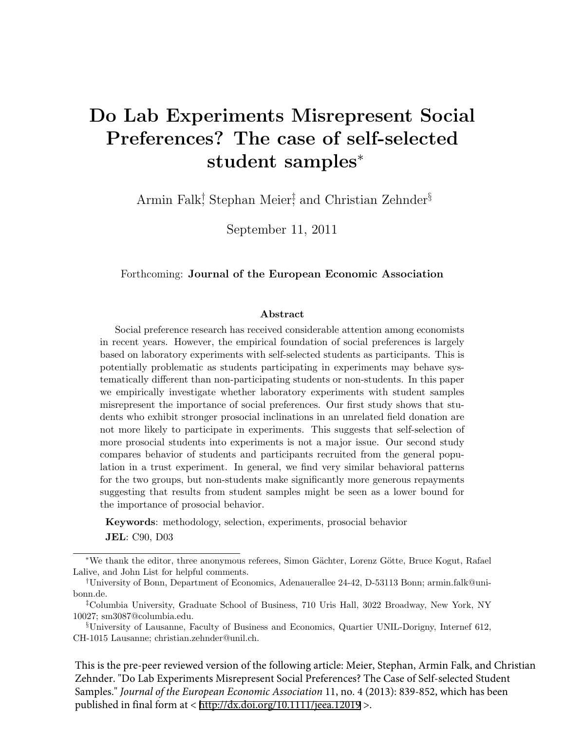# Do Lab Experiments Misrepresent Social Preferences? The case of self-selected student samples<sup>∗</sup>

Armin Falk<sup>†</sup> Stephan Meier<sup>†</sup> and Christian Zehnder<sup>§</sup>

September 11, 2011

#### Forthcoming: Journal of the European Economic Association

#### Abstract

Social preference research has received considerable attention among economists in recent years. However, the empirical foundation of social preferences is largely based on laboratory experiments with self-selected students as participants. This is potentially problematic as students participating in experiments may behave systematically different than non-participating students or non-students. In this paper we empirically investigate whether laboratory experiments with student samples misrepresent the importance of social preferences. Our first study shows that students who exhibit stronger prosocial inclinations in an unrelated field donation are not more likely to participate in experiments. This suggests that self-selection of more prosocial students into experiments is not a major issue. Our second study compares behavior of students and participants recruited from the general population in a trust experiment. In general, we find very similar behavioral patterns for the two groups, but non-students make significantly more generous repayments suggesting that results from student samples might be seen as a lower bound for the importance of prosocial behavior.

Keywords: methodology, selection, experiments, prosocial behavior JEL: C90, D03

This is the pre-peer reviewed version of the following article: Meier, Stephan, Armin Falk, and Christian Zehnder. "Do Lab Experiments Misrepresent Social Preferences? The Case of Self-selected Student Samples." *Journal of the European Economic Association* 11, no. 4 (2013): 839-852, which has been published in final form at < <http://dx.doi.org/10.1111/jeea.12019> >.

<sup>∗</sup>We thank the editor, three anonymous referees, Simon G¨achter, Lorenz G¨otte, Bruce Kogut, Rafael Lalive, and John List for helpful comments.

<sup>†</sup>University of Bonn, Department of Economics, Adenauerallee 24-42, D-53113 Bonn; armin.falk@unibonn.de.

<sup>‡</sup>Columbia University, Graduate School of Business, 710 Uris Hall, 3022 Broadway, New York, NY 10027; sm3087@columbia.edu.

<sup>§</sup>University of Lausanne, Faculty of Business and Economics, Quartier UNIL-Dorigny, Internef 612, CH-1015 Lausanne; christian.zehnder@unil.ch.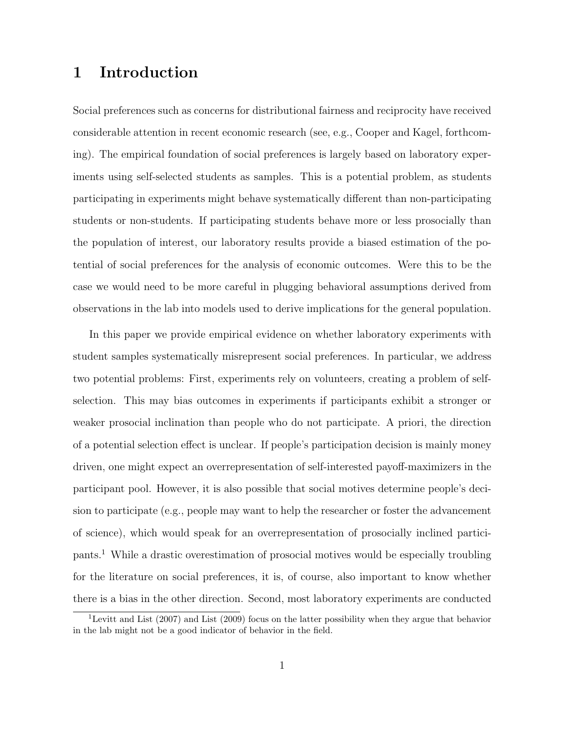## 1 Introduction

Social preferences such as concerns for distributional fairness and reciprocity have received considerable attention in recent economic research (see, e.g., Cooper and Kagel, forthcoming). The empirical foundation of social preferences is largely based on laboratory experiments using self-selected students as samples. This is a potential problem, as students participating in experiments might behave systematically different than non-participating students or non-students. If participating students behave more or less prosocially than the population of interest, our laboratory results provide a biased estimation of the potential of social preferences for the analysis of economic outcomes. Were this to be the case we would need to be more careful in plugging behavioral assumptions derived from observations in the lab into models used to derive implications for the general population.

In this paper we provide empirical evidence on whether laboratory experiments with student samples systematically misrepresent social preferences. In particular, we address two potential problems: First, experiments rely on volunteers, creating a problem of selfselection. This may bias outcomes in experiments if participants exhibit a stronger or weaker prosocial inclination than people who do not participate. A priori, the direction of a potential selection effect is unclear. If people's participation decision is mainly money driven, one might expect an overrepresentation of self-interested payoff-maximizers in the participant pool. However, it is also possible that social motives determine people's decision to participate (e.g., people may want to help the researcher or foster the advancement of science), which would speak for an overrepresentation of prosocially inclined participants.<sup>1</sup> While a drastic overestimation of prosocial motives would be especially troubling for the literature on social preferences, it is, of course, also important to know whether there is a bias in the other direction. Second, most laboratory experiments are conducted

<sup>&</sup>lt;sup>1</sup>Levitt and List (2007) and List (2009) focus on the latter possibility when they argue that behavior in the lab might not be a good indicator of behavior in the field.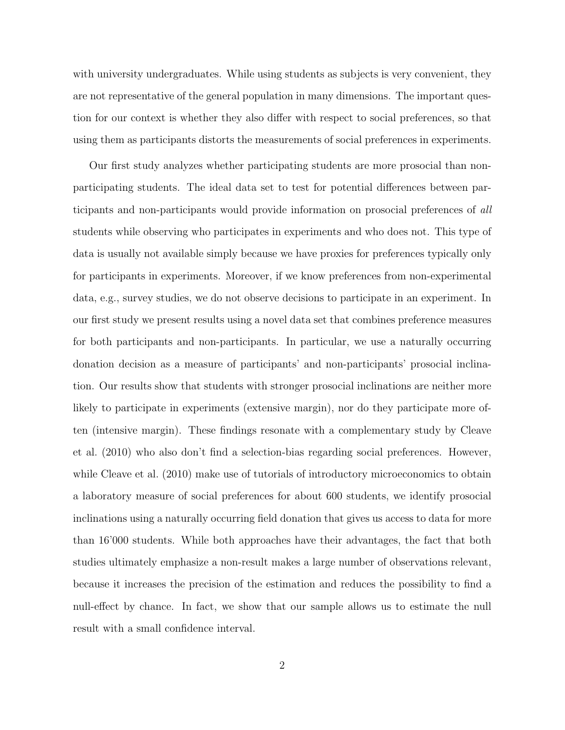with university undergraduates. While using students as subjects is very convenient, they are not representative of the general population in many dimensions. The important question for our context is whether they also differ with respect to social preferences, so that using them as participants distorts the measurements of social preferences in experiments.

Our first study analyzes whether participating students are more prosocial than nonparticipating students. The ideal data set to test for potential differences between participants and non-participants would provide information on prosocial preferences of all students while observing who participates in experiments and who does not. This type of data is usually not available simply because we have proxies for preferences typically only for participants in experiments. Moreover, if we know preferences from non-experimental data, e.g., survey studies, we do not observe decisions to participate in an experiment. In our first study we present results using a novel data set that combines preference measures for both participants and non-participants. In particular, we use a naturally occurring donation decision as a measure of participants' and non-participants' prosocial inclination. Our results show that students with stronger prosocial inclinations are neither more likely to participate in experiments (extensive margin), nor do they participate more often (intensive margin). These findings resonate with a complementary study by Cleave et al. (2010) who also don't find a selection-bias regarding social preferences. However, while Cleave et al. (2010) make use of tutorials of introductory microeconomics to obtain a laboratory measure of social preferences for about 600 students, we identify prosocial inclinations using a naturally occurring field donation that gives us access to data for more than 16'000 students. While both approaches have their advantages, the fact that both studies ultimately emphasize a non-result makes a large number of observations relevant, because it increases the precision of the estimation and reduces the possibility to find a null-effect by chance. In fact, we show that our sample allows us to estimate the null result with a small confidence interval.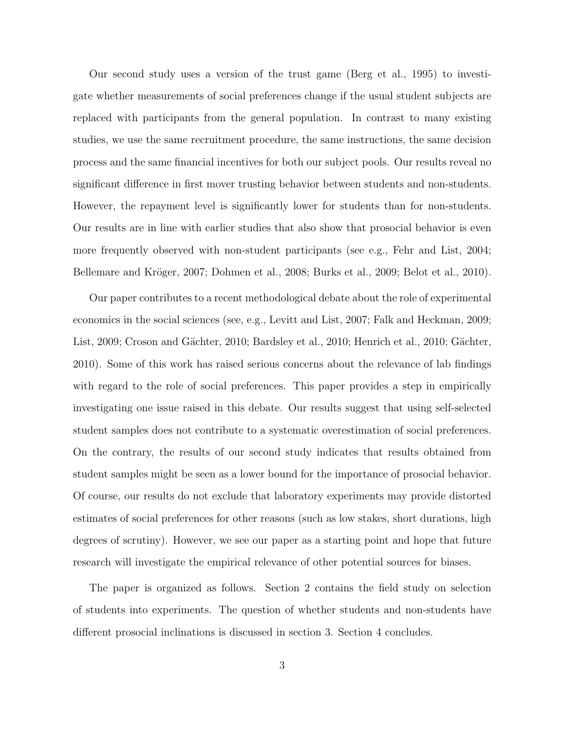Our second study uses a version of the trust game (Berg et al., 1995) to investigate whether measurements of social preferences change if the usual student subjects are replaced with participants from the general population. In contrast to many existing studies, we use the same recruitment procedure, the same instructions, the same decision process and the same financial incentives for both our subject pools. Our results reveal no significant difference in first mover trusting behavior between students and non-students. However, the repayment level is significantly lower for students than for non-students. Our results are in line with earlier studies that also show that prosocial behavior is even more frequently observed with non-student participants (see e.g., Fehr and List, 2004; Bellemare and Kröger, 2007; Dohmen et al., 2008; Burks et al., 2009; Belot et al., 2010).

Our paper contributes to a recent methodological debate about the role of experimental economics in the social sciences (see, e.g., Levitt and List, 2007; Falk and Heckman, 2009; List, 2009; Croson and Gächter, 2010; Bardsley et al., 2010; Henrich et al., 2010; Gächter, 2010). Some of this work has raised serious concerns about the relevance of lab findings with regard to the role of social preferences. This paper provides a step in empirically investigating one issue raised in this debate. Our results suggest that using self-selected student samples does not contribute to a systematic overestimation of social preferences. On the contrary, the results of our second study indicates that results obtained from student samples might be seen as a lower bound for the importance of prosocial behavior. Of course, our results do not exclude that laboratory experiments may provide distorted estimates of social preferences for other reasons (such as low stakes, short durations, high degrees of scrutiny). However, we see our paper as a starting point and hope that future research will investigate the empirical relevance of other potential sources for biases.

The paper is organized as follows. Section 2 contains the field study on selection of students into experiments. The question of whether students and non-students have different prosocial inclinations is discussed in section 3. Section 4 concludes.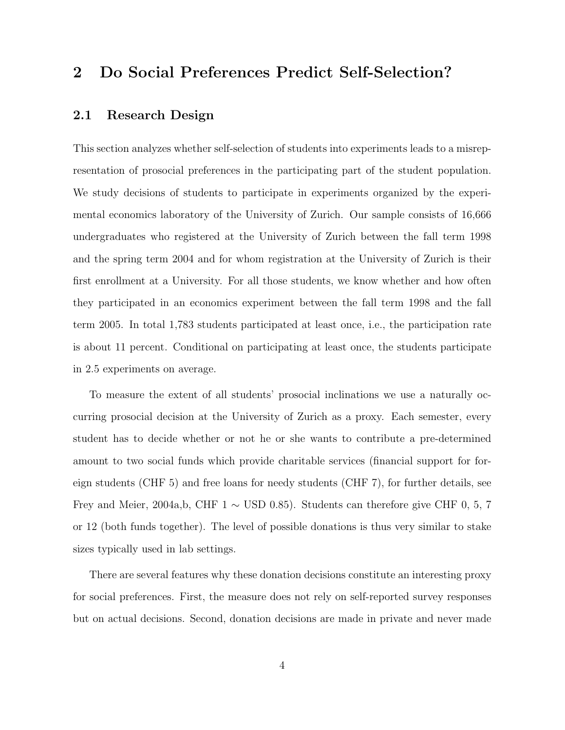## 2 Do Social Preferences Predict Self-Selection?

#### 2.1 Research Design

This section analyzes whether self-selection of students into experiments leads to a misrepresentation of prosocial preferences in the participating part of the student population. We study decisions of students to participate in experiments organized by the experimental economics laboratory of the University of Zurich. Our sample consists of 16,666 undergraduates who registered at the University of Zurich between the fall term 1998 and the spring term 2004 and for whom registration at the University of Zurich is their first enrollment at a University. For all those students, we know whether and how often they participated in an economics experiment between the fall term 1998 and the fall term 2005. In total 1,783 students participated at least once, i.e., the participation rate is about 11 percent. Conditional on participating at least once, the students participate in 2.5 experiments on average.

To measure the extent of all students' prosocial inclinations we use a naturally occurring prosocial decision at the University of Zurich as a proxy. Each semester, every student has to decide whether or not he or she wants to contribute a pre-determined amount to two social funds which provide charitable services (financial support for foreign students (CHF 5) and free loans for needy students (CHF 7), for further details, see Frey and Meier, 2004a,b, CHF 1  $\sim$  USD 0.85). Students can therefore give CHF 0, 5, 7 or 12 (both funds together). The level of possible donations is thus very similar to stake sizes typically used in lab settings.

There are several features why these donation decisions constitute an interesting proxy for social preferences. First, the measure does not rely on self-reported survey responses but on actual decisions. Second, donation decisions are made in private and never made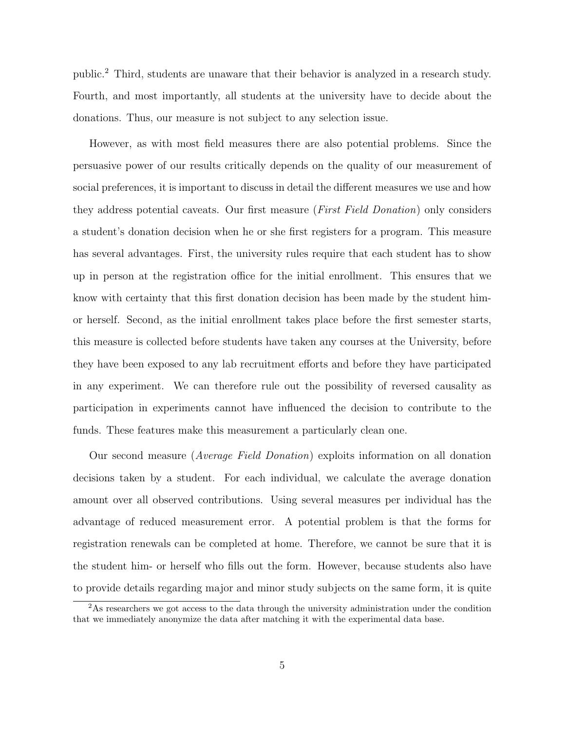public.<sup>2</sup> Third, students are unaware that their behavior is analyzed in a research study. Fourth, and most importantly, all students at the university have to decide about the donations. Thus, our measure is not subject to any selection issue.

However, as with most field measures there are also potential problems. Since the persuasive power of our results critically depends on the quality of our measurement of social preferences, it is important to discuss in detail the different measures we use and how they address potential caveats. Our first measure (*First Field Donation*) only considers a student's donation decision when he or she first registers for a program. This measure has several advantages. First, the university rules require that each student has to show up in person at the registration office for the initial enrollment. This ensures that we know with certainty that this first donation decision has been made by the student himor herself. Second, as the initial enrollment takes place before the first semester starts, this measure is collected before students have taken any courses at the University, before they have been exposed to any lab recruitment efforts and before they have participated in any experiment. We can therefore rule out the possibility of reversed causality as participation in experiments cannot have influenced the decision to contribute to the funds. These features make this measurement a particularly clean one.

Our second measure (Average Field Donation) exploits information on all donation decisions taken by a student. For each individual, we calculate the average donation amount over all observed contributions. Using several measures per individual has the advantage of reduced measurement error. A potential problem is that the forms for registration renewals can be completed at home. Therefore, we cannot be sure that it is the student him- or herself who fills out the form. However, because students also have to provide details regarding major and minor study subjects on the same form, it is quite

 $2<sup>2</sup>$ As researchers we got access to the data through the university administration under the condition that we immediately anonymize the data after matching it with the experimental data base.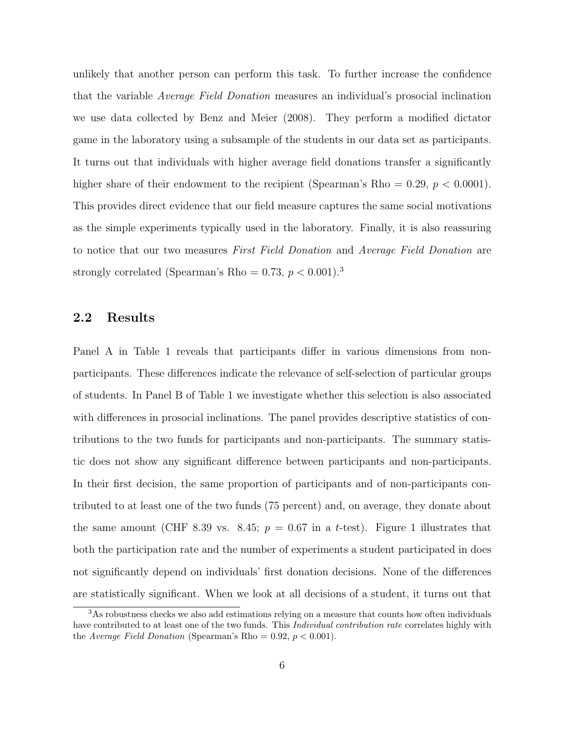unlikely that another person can perform this task. To further increase the confidence that the variable Average Field Donation measures an individual's prosocial inclination we use data collected by Benz and Meier (2008). They perform a modified dictator game in the laboratory using a subsample of the students in our data set as participants. It turns out that individuals with higher average field donations transfer a significantly higher share of their endowment to the recipient (Spearman's Rho  $= 0.29, p < 0.0001$ ). This provides direct evidence that our field measure captures the same social motivations as the simple experiments typically used in the laboratory. Finally, it is also reassuring to notice that our two measures *First Field Donation* and *Average Field Donation* are strongly correlated (Spearman's Rho =  $0.73, p < 0.001$ ).<sup>3</sup>

#### 2.2 Results

Panel A in Table 1 reveals that participants differ in various dimensions from nonparticipants. These differences indicate the relevance of self-selection of particular groups of students. In Panel B of Table 1 we investigate whether this selection is also associated with differences in prosocial inclinations. The panel provides descriptive statistics of contributions to the two funds for participants and non-participants. The summary statistic does not show any significant difference between participants and non-participants. In their first decision, the same proportion of participants and of non-participants contributed to at least one of the two funds (75 percent) and, on average, they donate about the same amount (CHF 8.39 vs. 8.45;  $p = 0.67$  in a t-test). Figure 1 illustrates that both the participation rate and the number of experiments a student participated in does not significantly depend on individuals' first donation decisions. None of the differences are statistically significant. When we look at all decisions of a student, it turns out that

 $3$ As robustness checks we also add estimations relying on a measure that counts how often individuals have contributed to at least one of the two funds. This *Individual contribution rate* correlates highly with the Average Field Donation (Spearman's Rho = 0.92,  $p < 0.001$ ).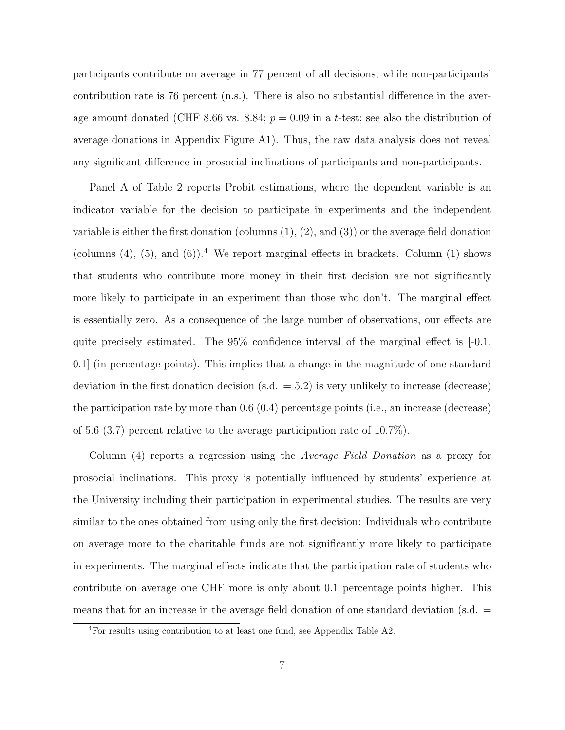participants contribute on average in 77 percent of all decisions, while non-participants' contribution rate is 76 percent (n.s.). There is also no substantial difference in the average amount donated (CHF 8.66 vs. 8.84;  $p = 0.09$  in a t-test; see also the distribution of average donations in Appendix Figure A1). Thus, the raw data analysis does not reveal any significant difference in prosocial inclinations of participants and non-participants.

Panel A of Table 2 reports Probit estimations, where the dependent variable is an indicator variable for the decision to participate in experiments and the independent variable is either the first donation (columns  $(1), (2),$  and  $(3)$ ) or the average field donation (columns  $(4)$ ,  $(5)$ , and  $(6)$ ).<sup>4</sup> We report marginal effects in brackets. Column  $(1)$  shows that students who contribute more money in their first decision are not significantly more likely to participate in an experiment than those who don't. The marginal effect is essentially zero. As a consequence of the large number of observations, our effects are quite precisely estimated. The 95% confidence interval of the marginal effect is [-0.1, 0.1] (in percentage points). This implies that a change in the magnitude of one standard deviation in the first donation decision (s.d. = 5.2) is very unlikely to increase (decrease) the participation rate by more than 0.6 (0.4) percentage points (i.e., an increase (decrease) of 5.6 (3.7) percent relative to the average participation rate of 10.7%).

Column (4) reports a regression using the Average Field Donation as a proxy for prosocial inclinations. This proxy is potentially influenced by students' experience at the University including their participation in experimental studies. The results are very similar to the ones obtained from using only the first decision: Individuals who contribute on average more to the charitable funds are not significantly more likely to participate in experiments. The marginal effects indicate that the participation rate of students who contribute on average one CHF more is only about 0.1 percentage points higher. This means that for an increase in the average field donation of one standard deviation (s.d.  $=$ 

<sup>4</sup>For results using contribution to at least one fund, see Appendix Table A2.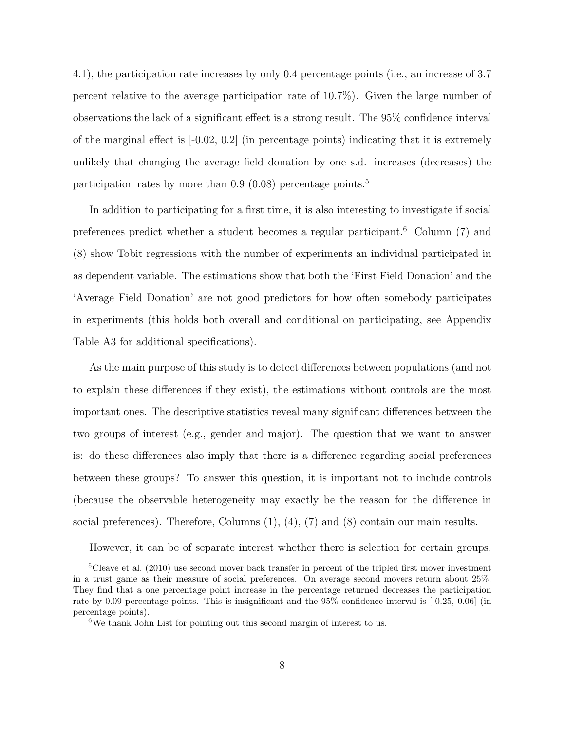4.1), the participation rate increases by only 0.4 percentage points (i.e., an increase of 3.7 percent relative to the average participation rate of 10.7%). Given the large number of observations the lack of a significant effect is a strong result. The 95% confidence interval of the marginal effect is  $[-0.02, 0.2]$  (in percentage points) indicating that it is extremely unlikely that changing the average field donation by one s.d. increases (decreases) the participation rates by more than  $0.9$   $(0.08)$  percentage points.<sup>5</sup>

In addition to participating for a first time, it is also interesting to investigate if social preferences predict whether a student becomes a regular participant.<sup>6</sup> Column (7) and (8) show Tobit regressions with the number of experiments an individual participated in as dependent variable. The estimations show that both the 'First Field Donation' and the 'Average Field Donation' are not good predictors for how often somebody participates in experiments (this holds both overall and conditional on participating, see Appendix Table A3 for additional specifications).

As the main purpose of this study is to detect differences between populations (and not to explain these differences if they exist), the estimations without controls are the most important ones. The descriptive statistics reveal many significant differences between the two groups of interest (e.g., gender and major). The question that we want to answer is: do these differences also imply that there is a difference regarding social preferences between these groups? To answer this question, it is important not to include controls (because the observable heterogeneity may exactly be the reason for the difference in social preferences). Therefore, Columns  $(1)$ ,  $(4)$ ,  $(7)$  and  $(8)$  contain our main results.

However, it can be of separate interest whether there is selection for certain groups.

 $5C$ leave et al. (2010) use second mover back transfer in percent of the tripled first mover investment in a trust game as their measure of social preferences. On average second movers return about 25%. They find that a one percentage point increase in the percentage returned decreases the participation rate by 0.09 percentage points. This is insignificant and the 95% confidence interval is [-0.25, 0.06] (in percentage points).

 $^6\mathrm{We}$  thank John List for pointing out this second margin of interest to us.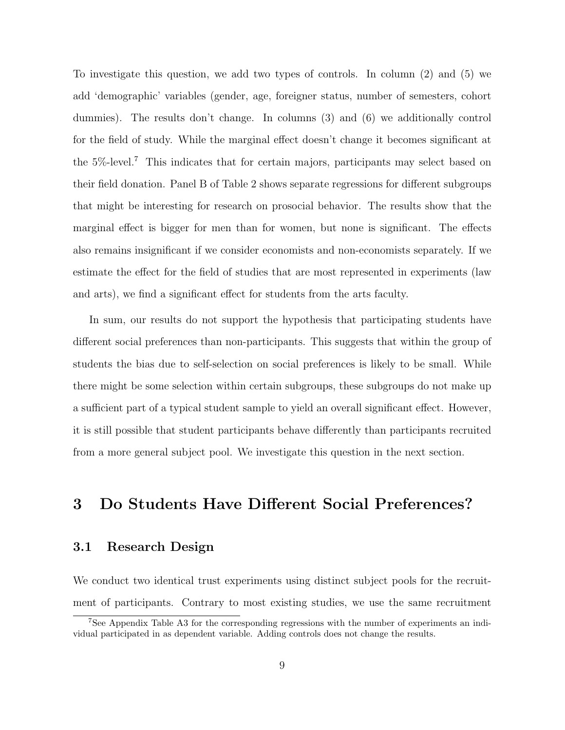To investigate this question, we add two types of controls. In column (2) and (5) we add 'demographic' variables (gender, age, foreigner status, number of semesters, cohort dummies). The results don't change. In columns (3) and (6) we additionally control for the field of study. While the marginal effect doesn't change it becomes significant at the 5%-level.<sup>7</sup> This indicates that for certain majors, participants may select based on their field donation. Panel B of Table 2 shows separate regressions for different subgroups that might be interesting for research on prosocial behavior. The results show that the marginal effect is bigger for men than for women, but none is significant. The effects also remains insignificant if we consider economists and non-economists separately. If we estimate the effect for the field of studies that are most represented in experiments (law and arts), we find a significant effect for students from the arts faculty.

In sum, our results do not support the hypothesis that participating students have different social preferences than non-participants. This suggests that within the group of students the bias due to self-selection on social preferences is likely to be small. While there might be some selection within certain subgroups, these subgroups do not make up a sufficient part of a typical student sample to yield an overall significant effect. However, it is still possible that student participants behave differently than participants recruited from a more general subject pool. We investigate this question in the next section.

## 3 Do Students Have Different Social Preferences?

#### 3.1 Research Design

We conduct two identical trust experiments using distinct subject pools for the recruitment of participants. Contrary to most existing studies, we use the same recruitment

<sup>7</sup>See Appendix Table A3 for the corresponding regressions with the number of experiments an individual participated in as dependent variable. Adding controls does not change the results.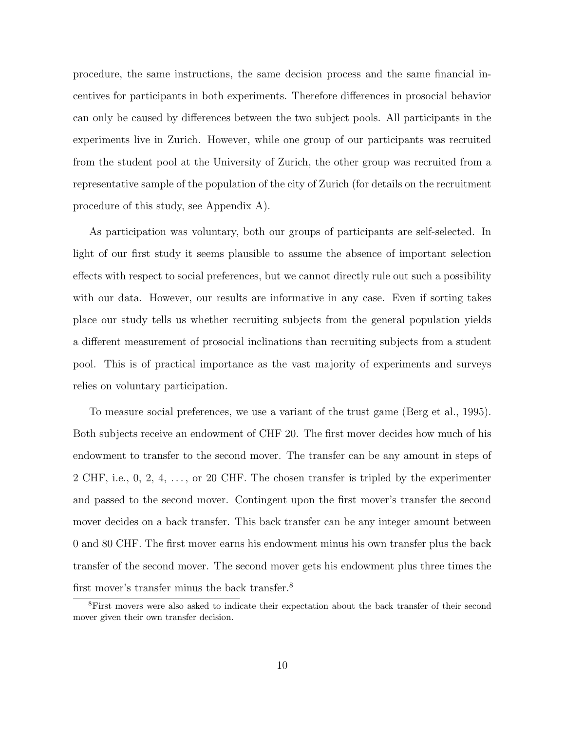procedure, the same instructions, the same decision process and the same financial incentives for participants in both experiments. Therefore differences in prosocial behavior can only be caused by differences between the two subject pools. All participants in the experiments live in Zurich. However, while one group of our participants was recruited from the student pool at the University of Zurich, the other group was recruited from a representative sample of the population of the city of Zurich (for details on the recruitment procedure of this study, see Appendix A).

As participation was voluntary, both our groups of participants are self-selected. In light of our first study it seems plausible to assume the absence of important selection effects with respect to social preferences, but we cannot directly rule out such a possibility with our data. However, our results are informative in any case. Even if sorting takes place our study tells us whether recruiting subjects from the general population yields a different measurement of prosocial inclinations than recruiting subjects from a student pool. This is of practical importance as the vast majority of experiments and surveys relies on voluntary participation.

To measure social preferences, we use a variant of the trust game (Berg et al., 1995). Both subjects receive an endowment of CHF 20. The first mover decides how much of his endowment to transfer to the second mover. The transfer can be any amount in steps of 2 CHF, i.e., 0, 2, 4, . . . , or 20 CHF. The chosen transfer is tripled by the experimenter and passed to the second mover. Contingent upon the first mover's transfer the second mover decides on a back transfer. This back transfer can be any integer amount between 0 and 80 CHF. The first mover earns his endowment minus his own transfer plus the back transfer of the second mover. The second mover gets his endowment plus three times the first mover's transfer minus the back transfer.<sup>8</sup>

<sup>8</sup>First movers were also asked to indicate their expectation about the back transfer of their second mover given their own transfer decision.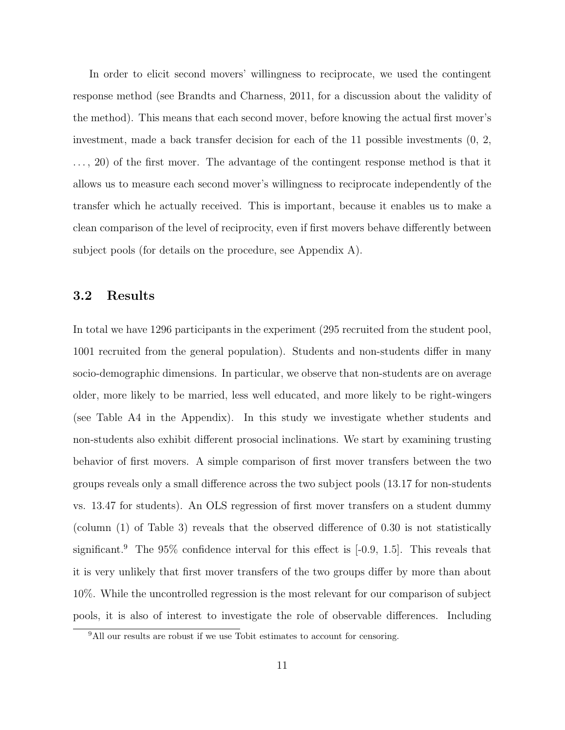In order to elicit second movers' willingness to reciprocate, we used the contingent response method (see Brandts and Charness, 2011, for a discussion about the validity of the method). This means that each second mover, before knowing the actual first mover's investment, made a back transfer decision for each of the 11 possible investments (0, 2, . . . , 20) of the first mover. The advantage of the contingent response method is that it allows us to measure each second mover's willingness to reciprocate independently of the transfer which he actually received. This is important, because it enables us to make a clean comparison of the level of reciprocity, even if first movers behave differently between subject pools (for details on the procedure, see Appendix A).

#### 3.2 Results

In total we have 1296 participants in the experiment (295 recruited from the student pool, 1001 recruited from the general population). Students and non-students differ in many socio-demographic dimensions. In particular, we observe that non-students are on average older, more likely to be married, less well educated, and more likely to be right-wingers (see Table A4 in the Appendix). In this study we investigate whether students and non-students also exhibit different prosocial inclinations. We start by examining trusting behavior of first movers. A simple comparison of first mover transfers between the two groups reveals only a small difference across the two subject pools (13.17 for non-students vs. 13.47 for students). An OLS regression of first mover transfers on a student dummy (column (1) of Table 3) reveals that the observed difference of 0.30 is not statistically significant.<sup>9</sup> The  $95\%$  confidence interval for this effect is  $[-0.9, 1.5]$ . This reveals that it is very unlikely that first mover transfers of the two groups differ by more than about 10%. While the uncontrolled regression is the most relevant for our comparison of subject pools, it is also of interest to investigate the role of observable differences. Including

<sup>&</sup>lt;sup>9</sup>All our results are robust if we use Tobit estimates to account for censoring.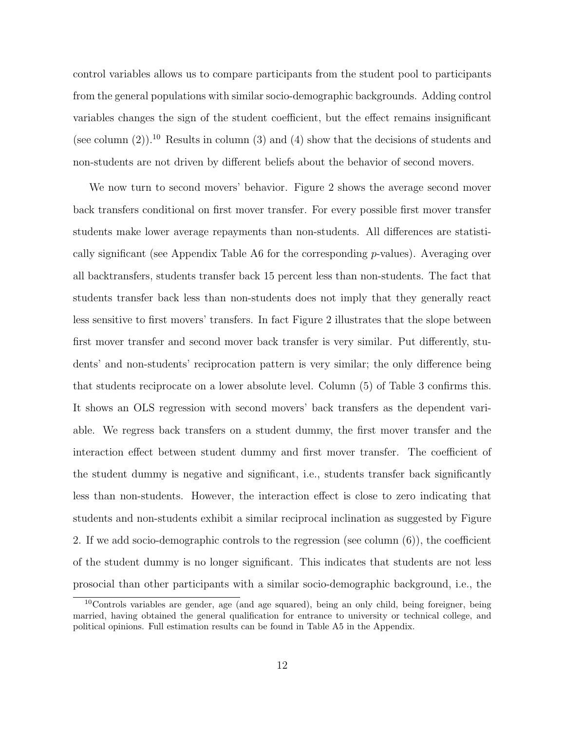control variables allows us to compare participants from the student pool to participants from the general populations with similar socio-demographic backgrounds. Adding control variables changes the sign of the student coefficient, but the effect remains insignificant (see column  $(2)$ ).<sup>10</sup> Results in column  $(3)$  and  $(4)$  show that the decisions of students and non-students are not driven by different beliefs about the behavior of second movers.

We now turn to second movers' behavior. Figure 2 shows the average second mover back transfers conditional on first mover transfer. For every possible first mover transfer students make lower average repayments than non-students. All differences are statistically significant (see Appendix Table A6 for the corresponding  $p$ -values). Averaging over all backtransfers, students transfer back 15 percent less than non-students. The fact that students transfer back less than non-students does not imply that they generally react less sensitive to first movers' transfers. In fact Figure 2 illustrates that the slope between first mover transfer and second mover back transfer is very similar. Put differently, students' and non-students' reciprocation pattern is very similar; the only difference being that students reciprocate on a lower absolute level. Column (5) of Table 3 confirms this. It shows an OLS regression with second movers' back transfers as the dependent variable. We regress back transfers on a student dummy, the first mover transfer and the interaction effect between student dummy and first mover transfer. The coefficient of the student dummy is negative and significant, i.e., students transfer back significantly less than non-students. However, the interaction effect is close to zero indicating that students and non-students exhibit a similar reciprocal inclination as suggested by Figure 2. If we add socio-demographic controls to the regression (see column (6)), the coefficient of the student dummy is no longer significant. This indicates that students are not less prosocial than other participants with a similar socio-demographic background, i.e., the

<sup>&</sup>lt;sup>10</sup>Controls variables are gender, age (and age squared), being an only child, being foreigner, being married, having obtained the general qualification for entrance to university or technical college, and political opinions. Full estimation results can be found in Table A5 in the Appendix.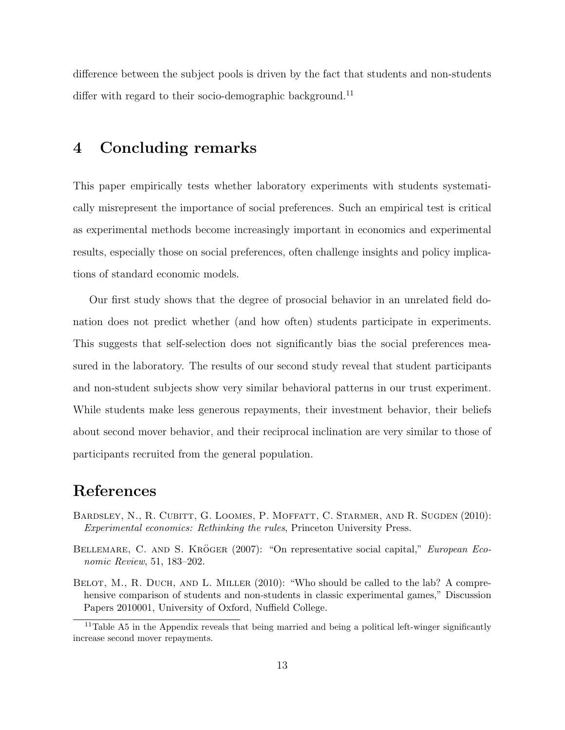difference between the subject pools is driven by the fact that students and non-students differ with regard to their socio-demographic background.<sup>11</sup>

## 4 Concluding remarks

This paper empirically tests whether laboratory experiments with students systematically misrepresent the importance of social preferences. Such an empirical test is critical as experimental methods become increasingly important in economics and experimental results, especially those on social preferences, often challenge insights and policy implications of standard economic models.

Our first study shows that the degree of prosocial behavior in an unrelated field donation does not predict whether (and how often) students participate in experiments. This suggests that self-selection does not significantly bias the social preferences measured in the laboratory. The results of our second study reveal that student participants and non-student subjects show very similar behavioral patterns in our trust experiment. While students make less generous repayments, their investment behavior, their beliefs about second mover behavior, and their reciprocal inclination are very similar to those of participants recruited from the general population.

## References

- Bardsley, N., R. Cubitt, G. Loomes, P. Moffatt, C. Starmer, and R. Sugden (2010): Experimental economics: Rethinking the rules, Princeton University Press.
- BELLEMARE, C. AND S. KRÖGER (2007): "On representative social capital," European Economic Review, 51, 183–202.
- BELOT, M., R. DUCH, AND L. MILLER (2010): "Who should be called to the lab? A comprehensive comparison of students and non-students in classic experimental games," Discussion Papers 2010001, University of Oxford, Nuffield College.

<sup>&</sup>lt;sup>11</sup>Table A5 in the Appendix reveals that being married and being a political left-winger significantly increase second mover repayments.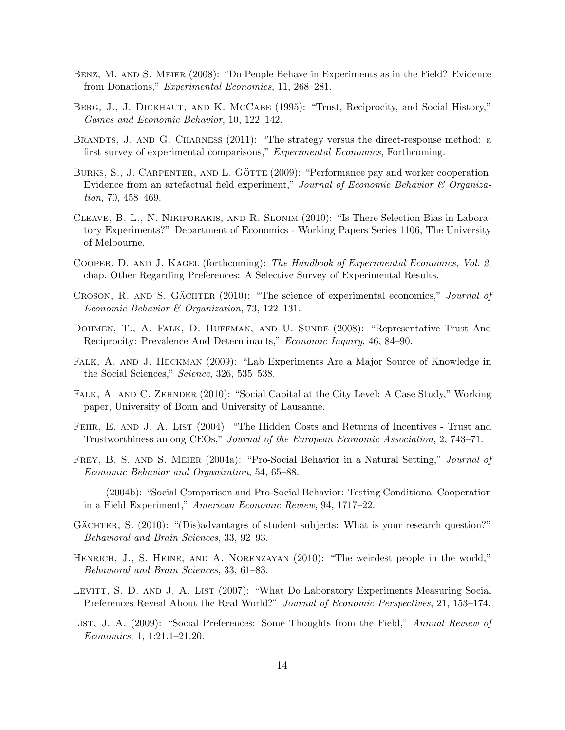- Benz, M. and S. Meier (2008): "Do People Behave in Experiments as in the Field? Evidence from Donations," Experimental Economics, 11, 268–281.
- BERG, J., J. DICKHAUT, AND K. MCCABE (1995): "Trust, Reciprocity, and Social History," Games and Economic Behavior, 10, 122–142.
- BRANDTS, J. AND G. CHARNESS (2011): "The strategy versus the direct-response method: a first survey of experimental comparisons," Experimental Economics, Forthcoming.
- BURKS, S., J. CARPENTER, AND L. GÖTTE  $(2009)$ : "Performance pay and worker cooperation: Evidence from an artefactual field experiment," Journal of Economic Behavior  $\mathcal C$  Organization, 70, 458–469.
- Cleave, B. L., N. Nikiforakis, and R. Slonim (2010): "Is There Selection Bias in Laboratory Experiments?" Department of Economics - Working Papers Series 1106, The University of Melbourne.
- COOPER, D. AND J. KAGEL (forthcoming): The Handbook of Experimental Economics, Vol. 2, chap. Other Regarding Preferences: A Selective Survey of Experimental Results.
- CROSON, R. AND S. GÄCHTER  $(2010)$ : "The science of experimental economics," *Journal of* Economic Behavior & Organization, 73, 122–131.
- DOHMEN, T., A. FALK, D. HUFFMAN, AND U. SUNDE (2008): "Representative Trust And Reciprocity: Prevalence And Determinants," Economic Inquiry, 46, 84–90.
- FALK, A. AND J. HECKMAN (2009): "Lab Experiments Are a Major Source of Knowledge in the Social Sciences," Science, 326, 535–538.
- FALK, A. AND C. ZEHNDER (2010): "Social Capital at the City Level: A Case Study," Working paper, University of Bonn and University of Lausanne.
- FEHR, E. AND J. A. LIST (2004): "The Hidden Costs and Returns of Incentives Trust and Trustworthiness among CEOs," Journal of the European Economic Association, 2, 743–71.
- FREY, B. S. AND S. MEIER (2004a): "Pro-Social Behavior in a Natural Setting," *Journal of* Economic Behavior and Organization, 54, 65–88.
- ——— (2004b): "Social Comparison and Pro-Social Behavior: Testing Conditional Cooperation in a Field Experiment," American Economic Review, 94, 1717–22.
- GÄCHTER, S. (2010): "(Dis)advantages of student subjects: What is your research question?" Behavioral and Brain Sciences, 33, 92–93.
- HENRICH, J., S. HEINE, AND A. NORENZAYAN (2010): "The weirdest people in the world," Behavioral and Brain Sciences, 33, 61–83.
- LEVITT, S. D. AND J. A. LIST (2007): "What Do Laboratory Experiments Measuring Social Preferences Reveal About the Real World?" Journal of Economic Perspectives, 21, 153–174.
- LIST, J. A. (2009): "Social Preferences: Some Thoughts from the Field," Annual Review of Economics, 1, 1:21.1–21.20.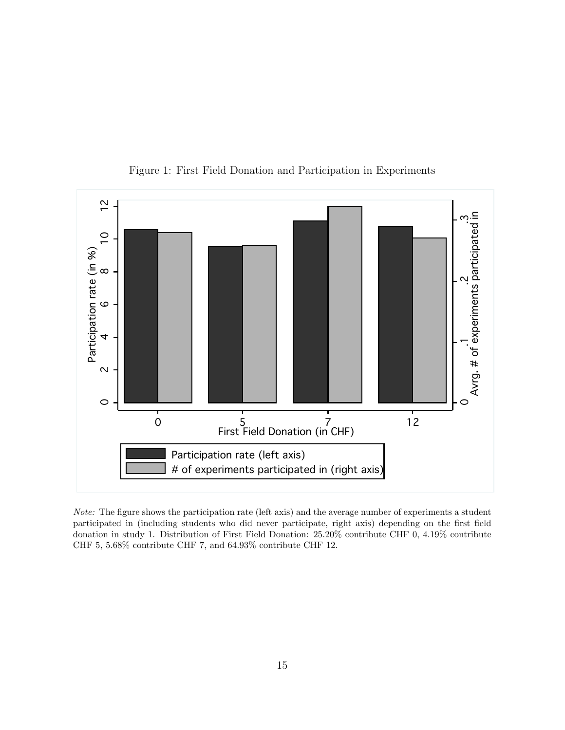

Figure 1: First Field Donation and Participation in Experiments

Note: The figure shows the participation rate (left axis) and the average number of experiments a student participated in (including students who did never participate, right axis) depending on the first field donation in study 1. Distribution of First Field Donation: 25.20% contribute CHF 0, 4.19% contribute CHF 5, 5.68% contribute CHF 7, and 64.93% contribute CHF 12.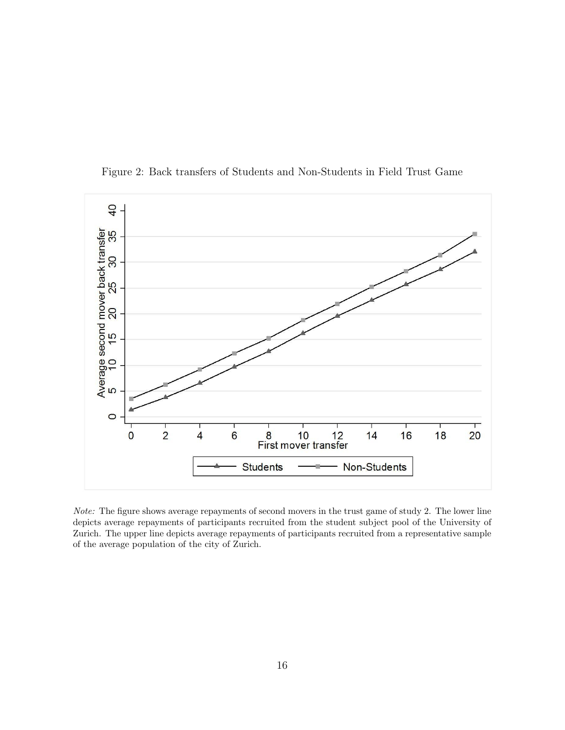

Figure 2: Back transfers of Students and Non-Students in Field Trust Game

Note: The figure shows average repayments of second movers in the trust game of study 2. The lower line depicts average repayments of participants recruited from the student subject pool of the University of Zurich. The upper line depicts average repayments of participants recruited from a representative sample of the average population of the city of Zurich.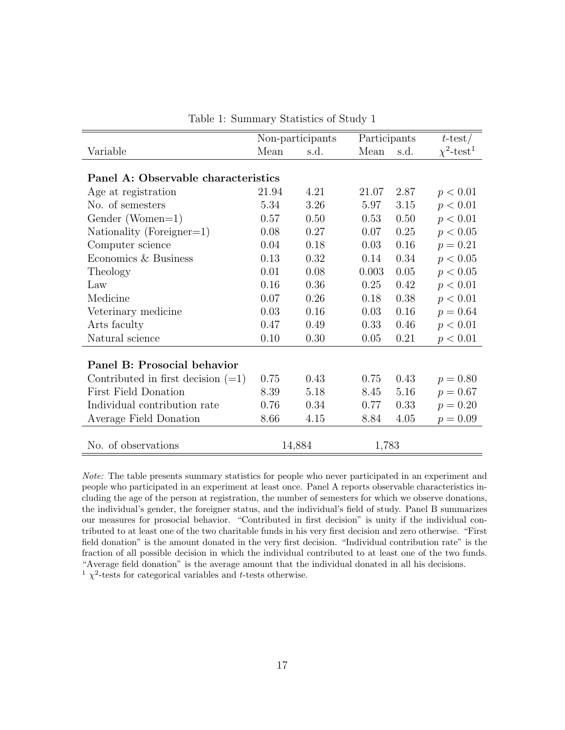|                                      |       | Non-participants | Participants |      | $t$ -test/                  |
|--------------------------------------|-------|------------------|--------------|------|-----------------------------|
| Variable                             | Mean  | s.d.             | Mean         | s.d. | $\chi^2$ -test <sup>1</sup> |
|                                      |       |                  |              |      |                             |
| Panel A: Observable characteristics  |       |                  |              |      |                             |
| Age at registration                  | 21.94 | 4.21             | 21.07        | 2.87 | p < 0.01                    |
| No. of semesters                     | 5.34  | 3.26             | 5.97         | 3.15 | p < 0.01                    |
| Gender (Women=1)                     | 0.57  | 0.50             | 0.53         | 0.50 | p < 0.01                    |
| Nationality (Foreigner=1)            | 0.08  | 0.27             | 0.07         | 0.25 | p < 0.05                    |
| Computer science                     | 0.04  | 0.18             | 0.03         | 0.16 | $p = 0.21$                  |
| Economics & Business                 | 0.13  | 0.32             | 0.14         | 0.34 | p < 0.05                    |
| Theology                             | 0.01  | 0.08             | 0.003        | 0.05 | p < 0.05                    |
| Law                                  | 0.16  | 0.36             | 0.25         | 0.42 | p < 0.01                    |
| Medicine                             | 0.07  | 0.26             | 0.18         | 0.38 | p < 0.01                    |
| Veterinary medicine                  | 0.03  | 0.16             | 0.03         | 0.16 | $p = 0.64$                  |
| Arts faculty                         | 0.47  | 0.49             | 0.33         | 0.46 | p < 0.01                    |
| Natural science                      | 0.10  | 0.30             | 0.05         | 0.21 | p < 0.01                    |
|                                      |       |                  |              |      |                             |
| Panel B: Prosocial behavior          |       |                  |              |      |                             |
| Contributed in first decision $(=1)$ | 0.75  | 0.43             | 0.75         | 0.43 | $p = 0.80$                  |
| <b>First Field Donation</b>          | 8.39  | 5.18             | 8.45         | 5.16 | $p = 0.67$                  |
| Individual contribution rate         | 0.76  | 0.34             | 0.77         | 0.33 | $p = 0.20$                  |
| Average Field Donation               | 8.66  | 4.15             | 8.84         | 4.05 | $p = 0.09$                  |
|                                      |       |                  |              |      |                             |
| No. of observations                  |       | 14,884           | 1,783        |      |                             |

Table 1: Summary Statistics of Study 1

Note: The table presents summary statistics for people who never participated in an experiment and people who participated in an experiment at least once. Panel A reports observable characteristics including the age of the person at registration, the number of semesters for which we observe donations, the individual's gender, the foreigner status, and the individual's field of study. Panel B summarizes our measures for prosocial behavior. "Contributed in first decision" is unity if the individual contributed to at least one of the two charitable funds in his very first decision and zero otherwise. "First field donation" is the amount donated in the very first decision. "Individual contribution rate" is the fraction of all possible decision in which the individual contributed to at least one of the two funds. "Average field donation" is the average amount that the individual donated in all his decisions. <sup>1</sup>  $\chi^2$ -tests for categorical variables and *t*-tests otherwise.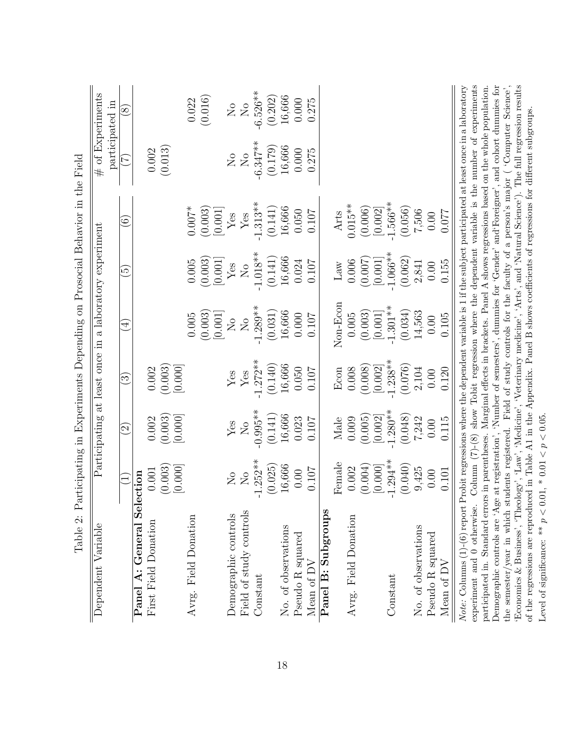|                                                                                                                                                                                                                                                                        |                         |                      |                             |                                                        |                            | Table 2: Participating in Experiments Depending on Prosocial Behavior in the Field               |                           |                                     |
|------------------------------------------------------------------------------------------------------------------------------------------------------------------------------------------------------------------------------------------------------------------------|-------------------------|----------------------|-----------------------------|--------------------------------------------------------|----------------------------|--------------------------------------------------------------------------------------------------|---------------------------|-------------------------------------|
| Dependent Variable                                                                                                                                                                                                                                                     |                         |                      |                             | Participating at least once in a laboratory experiment |                            |                                                                                                  |                           | # of Experiments<br>participated in |
|                                                                                                                                                                                                                                                                        |                         | $\widetilde{\varpi}$ | $\widetilde{\mathcal{S}}$   | $\bigoplus$                                            | $\widetilde{\mathfrak{S}}$ | $\odot$                                                                                          | $\widetilde{\mathcal{L}}$ | $\infty$                            |
| Panel A: General Selection                                                                                                                                                                                                                                             |                         |                      |                             |                                                        |                            |                                                                                                  |                           |                                     |
| First Field Donation                                                                                                                                                                                                                                                   | $0.001\,$               | 0.002                | 0.002                       |                                                        |                            |                                                                                                  | (0.002)                   |                                     |
|                                                                                                                                                                                                                                                                        | (0.003)                 | (0.003)              | (0.003)                     |                                                        |                            |                                                                                                  |                           |                                     |
| Avrg. Field Donation                                                                                                                                                                                                                                                   | [0.000]                 | [0.000]              | [0.000]                     | 0.005                                                  | $0.005\,$                  | $0.007*$                                                                                         |                           | 0.022                               |
|                                                                                                                                                                                                                                                                        |                         |                      |                             | (0.003)                                                | (0.003)                    | (0.003)                                                                                          |                           | (0.016)                             |
|                                                                                                                                                                                                                                                                        |                         |                      |                             | [0.001]                                                | [0.001]                    | [0.001]                                                                                          |                           |                                     |
| Demographic controls                                                                                                                                                                                                                                                   | $\overline{\mathsf{X}}$ | Yes                  | ${\rm Yes}$                 | $\overline{S}$                                         | $\operatorname{Yes}$       | $\mathbf{Y}\mathbf{es}$                                                                          | $\overline{\mathsf{S}}$   | $\rm _{NO}$                         |
| Field of study controls                                                                                                                                                                                                                                                | $\overline{N}$          | $\rm N_{O}$          | $\ensuremath{\mathrm{Yes}}$ | $\rm _{N}^{\circ}$                                     | $\rm \stackrel{\circ}{X}$  | $\mathbf{Y}\mathbf{es}$                                                                          | $\rm \stackrel{\circ}{X}$ | $\rm N_{O}$                         |
| Constant                                                                                                                                                                                                                                                               | $-1.252**$              | $-0.995**$           | $-1.272**$                  | $-1.289**$                                             | $-1.018**$                 | $-1.313**$                                                                                       | $-6.347***$               | $-6.526**$                          |
|                                                                                                                                                                                                                                                                        | (0.025)                 | (0.141)              | (0.140)                     | (0.031)                                                | (0.141)                    | (0.141)                                                                                          | (0.179)                   | (0.202)                             |
| No. of observations                                                                                                                                                                                                                                                    | 16,666                  | 16,666               | 16,666                      | 16,666                                                 | 16,666                     | 16,666                                                                                           | 16,666                    | 16,666                              |
| Pseudo R squared                                                                                                                                                                                                                                                       | 0.00                    | 0.023                | 0.050                       | 0.000                                                  | 0.024                      | 0.050                                                                                            | 0.000                     | 0.000                               |
| Mean of DV                                                                                                                                                                                                                                                             | 0.107                   | 0.107                | 0.107                       | 0.107                                                  | 0.107                      | 0.107                                                                                            | 0.275                     | 0.275                               |
| Panel B: Subgroups                                                                                                                                                                                                                                                     |                         |                      |                             |                                                        |                            |                                                                                                  |                           |                                     |
|                                                                                                                                                                                                                                                                        | Female                  | Male                 | Econ                        | Non-Econ                                               | Law                        | Arts                                                                                             |                           |                                     |
| Avrg. Field Donation                                                                                                                                                                                                                                                   | 0.002                   | 0.009                | 0.008                       | $0.005\,$                                              | 0.006                      | $0.015**$                                                                                        |                           |                                     |
|                                                                                                                                                                                                                                                                        | (0.004)                 | (0.005)              | (0.008)                     | (0.003)                                                | (0.007)                    | (0.006)                                                                                          |                           |                                     |
|                                                                                                                                                                                                                                                                        | [0.000]                 | [0.002]              | [0.002]                     | [0.001]                                                | [0.001]                    | [0.002]                                                                                          |                           |                                     |
| Constant                                                                                                                                                                                                                                                               | $-1.294**$              | $-1.280**$           | $1.238**$                   | $1.301**$                                              | $1.066**$                  | $-1.566**$                                                                                       |                           |                                     |
|                                                                                                                                                                                                                                                                        | (0.040)                 | (0.048)              | (0.076)                     | (0.034)                                                | (0.062)                    | (0.056)                                                                                          |                           |                                     |
| No. of observations                                                                                                                                                                                                                                                    | 9,425                   | 7,242                | 2,104                       | 14,563                                                 | 2,841                      | 7,506                                                                                            |                           |                                     |
| Pseudo R squared                                                                                                                                                                                                                                                       | 0.00                    | 0.00                 | 0.00                        | 0.00                                                   | 0.00                       | 0.00                                                                                             |                           |                                     |
| Mean of DV                                                                                                                                                                                                                                                             | 0.101                   | 0.115                | 0.120                       | 0.105                                                  | 0.155                      | 0.077                                                                                            |                           |                                     |
| Note: Columns $(1)-(6)$ report Probit regressions where the dependent variable is 1 if the subject participated at least once in a laboratory                                                                                                                          |                         |                      |                             |                                                        |                            |                                                                                                  |                           |                                     |
| experiment and 0 otherwise.                                                                                                                                                                                                                                            |                         |                      |                             |                                                        |                            | Column $(7)-(8)$ show Tobit regression where the dependent variable is the number of experiments |                           |                                     |
| participated in. Standard errors in parentheses. Marginal effects in brackets. Panel A shows regressions based on the whole population.                                                                                                                                |                         |                      |                             |                                                        |                            |                                                                                                  |                           |                                     |
| Demographic controls are 'Age at registration', 'Number of semesters', dummies for 'Gender' and Foreigner', and cohort dummies for<br>the semester/year in which students registered. Field of study controls for the faculty of a person's major ('Computer Science', |                         |                      |                             |                                                        |                            |                                                                                                  |                           |                                     |
| 'Economics & Business', 'Theology', 'Law', 'Medicine', 'Veterinary medicine', 'Arts', and 'Natural Science'). The full regression results                                                                                                                              |                         |                      |                             |                                                        |                            |                                                                                                  |                           |                                     |
| of the regressions are reproduced in Table A1 in the Appendix. Panel B shows coefficients of regressions for different subgroups.                                                                                                                                      |                         |                      |                             |                                                        |                            |                                                                                                  |                           |                                     |

Level of significance: \*\*  $p < 0.01$ , \* 0.01 <  $p < 0.05$ . Level of significance: \*\*  $p < 0.01$ , \*  $0.01 < p < 0.05$ .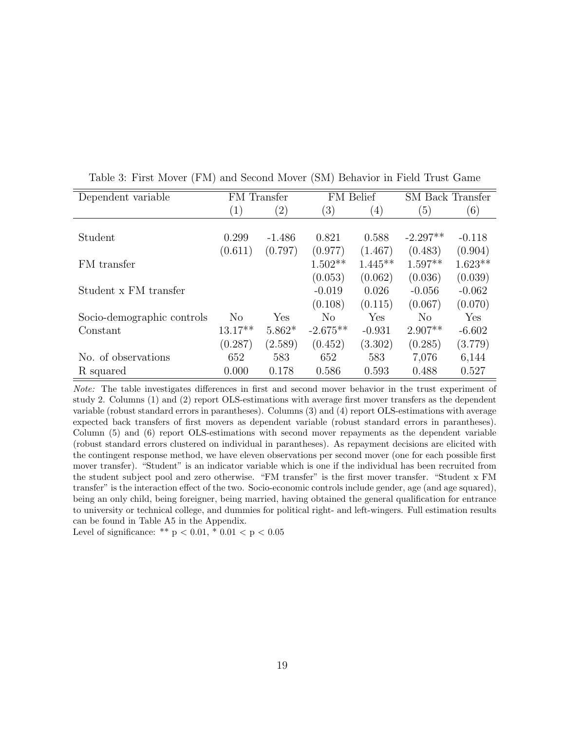| Dependent variable         |                   | FM Transfer       |                  | FM Belief        | <b>SM</b> Back Transfer |           |
|----------------------------|-------------------|-------------------|------------------|------------------|-------------------------|-----------|
|                            | $\left( 1\right)$ | $\left( 2\right)$ | $\left(3\right)$ | $\left(4\right)$ | (5)                     | (6)       |
|                            |                   |                   |                  |                  |                         |           |
| Student                    | 0.299             | $-1.486$          | 0.821            | 0.588            | $-2.297**$              | $-0.118$  |
|                            | (0.611)           | (0.797)           | (0.977)          | (1.467)          | (0.483)                 | (0.904)   |
| FM transfer                |                   |                   | $1.502**$        | $1.445**$        | $1.597**$               | $1.623**$ |
|                            |                   |                   | (0.053)          | (0.062)          | (0.036)                 | (0.039)   |
| Student x FM transfer      |                   |                   | $-0.019$         | 0.026            | $-0.056$                | $-0.062$  |
|                            |                   |                   | (0.108)          | (0.115)          | (0.067)                 | (0.070)   |
| Socio-demographic controls | $\rm No$          | Yes               | N <sub>o</sub>   | Yes              | $\rm No$                | Yes       |
| Constant                   | $13.17**$         | $5.862*$          | $-2.675**$       | $-0.931$         | $2.907**$               | $-6.602$  |
|                            | (0.287)           | (2.589)           | (0.452)          | (3.302)          | (0.285)                 | (3.779)   |
| No. of observations        | 652               | 583               | 652              | 583              | 7,076                   | 6,144     |
| R squared                  | 0.000             | 0.178             | 0.586            | 0.593            | 0.488                   | 0.527     |

Table 3: First Mover (FM) and Second Mover (SM) Behavior in Field Trust Game

Note: The table investigates differences in first and second mover behavior in the trust experiment of study 2. Columns (1) and (2) report OLS-estimations with average first mover transfers as the dependent variable (robust standard errors in parantheses). Columns (3) and (4) report OLS-estimations with average expected back transfers of first movers as dependent variable (robust standard errors in parantheses). Column (5) and (6) report OLS-estimations with second mover repayments as the dependent variable (robust standard errors clustered on individual in parantheses). As repayment decisions are elicited with the contingent response method, we have eleven observations per second mover (one for each possible first mover transfer). "Student" is an indicator variable which is one if the individual has been recruited from the student subject pool and zero otherwise. "FM transfer" is the first mover transfer. "Student x FM transfer" is the interaction effect of the two. Socio-economic controls include gender, age (and age squared), being an only child, being foreigner, being married, having obtained the general qualification for entrance to university or technical college, and dummies for political right- and left-wingers. Full estimation results can be found in Table A5 in the Appendix.

Level of significance: \*\*  $p < 0.01$ , \*  $0.01 < p < 0.05$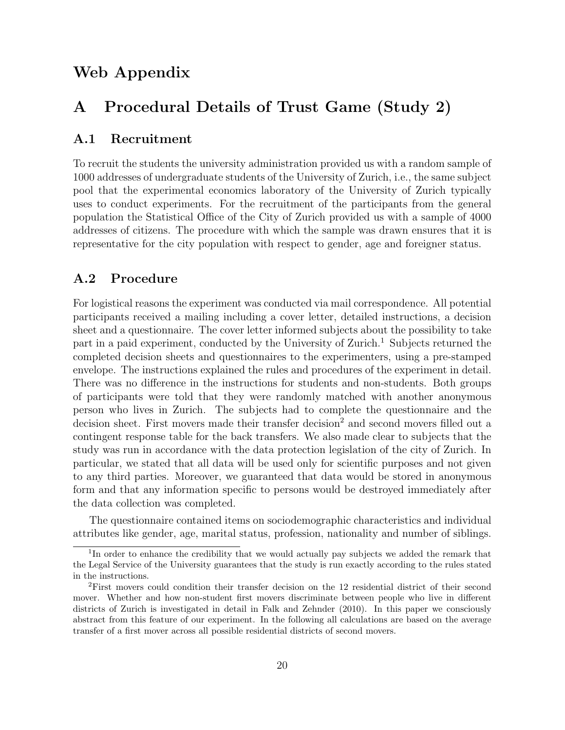## Web Appendix

## A Procedural Details of Trust Game (Study 2)

#### A.1 Recruitment

To recruit the students the university administration provided us with a random sample of 1000 addresses of undergraduate students of the University of Zurich, i.e., the same subject pool that the experimental economics laboratory of the University of Zurich typically uses to conduct experiments. For the recruitment of the participants from the general population the Statistical Office of the City of Zurich provided us with a sample of 4000 addresses of citizens. The procedure with which the sample was drawn ensures that it is representative for the city population with respect to gender, age and foreigner status.

#### A.2 Procedure

For logistical reasons the experiment was conducted via mail correspondence. All potential participants received a mailing including a cover letter, detailed instructions, a decision sheet and a questionnaire. The cover letter informed subjects about the possibility to take part in a paid experiment, conducted by the University of Zurich.<sup>1</sup> Subjects returned the completed decision sheets and questionnaires to the experimenters, using a pre-stamped envelope. The instructions explained the rules and procedures of the experiment in detail. There was no difference in the instructions for students and non-students. Both groups of participants were told that they were randomly matched with another anonymous person who lives in Zurich. The subjects had to complete the questionnaire and the decision sheet. First movers made their transfer decision<sup>2</sup> and second movers filled out a contingent response table for the back transfers. We also made clear to subjects that the study was run in accordance with the data protection legislation of the city of Zurich. In particular, we stated that all data will be used only for scientific purposes and not given to any third parties. Moreover, we guaranteed that data would be stored in anonymous form and that any information specific to persons would be destroyed immediately after the data collection was completed.

The questionnaire contained items on sociodemographic characteristics and individual attributes like gender, age, marital status, profession, nationality and number of siblings.

<sup>&</sup>lt;sup>1</sup>In order to enhance the credibility that we would actually pay subjects we added the remark that the Legal Service of the University guarantees that the study is run exactly according to the rules stated in the instructions.

<sup>2</sup>First movers could condition their transfer decision on the 12 residential district of their second mover. Whether and how non-student first movers discriminate between people who live in different districts of Zurich is investigated in detail in Falk and Zehnder (2010). In this paper we consciously abstract from this feature of our experiment. In the following all calculations are based on the average transfer of a first mover across all possible residential districts of second movers.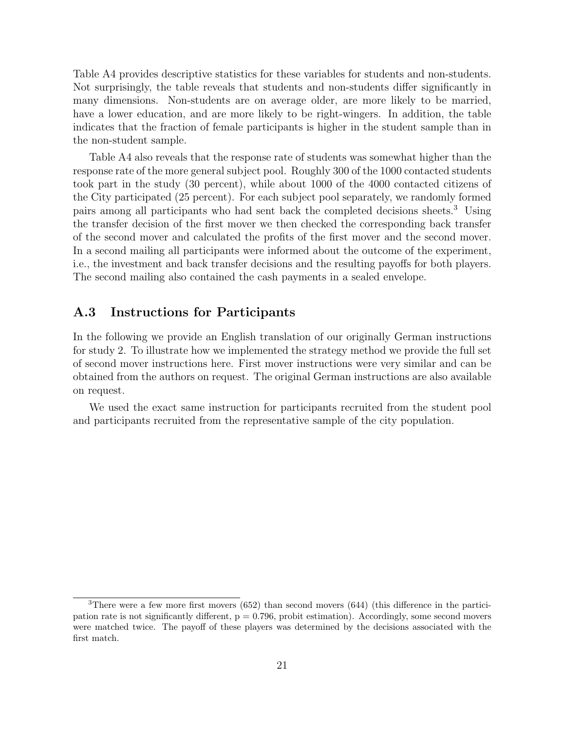Table A4 provides descriptive statistics for these variables for students and non-students. Not surprisingly, the table reveals that students and non-students differ significantly in many dimensions. Non-students are on average older, are more likely to be married, have a lower education, and are more likely to be right-wingers. In addition, the table indicates that the fraction of female participants is higher in the student sample than in the non-student sample.

Table A4 also reveals that the response rate of students was somewhat higher than the response rate of the more general subject pool. Roughly 300 of the 1000 contacted students took part in the study (30 percent), while about 1000 of the 4000 contacted citizens of the City participated (25 percent). For each subject pool separately, we randomly formed pairs among all participants who had sent back the completed decisions sheets.<sup>3</sup> Using the transfer decision of the first mover we then checked the corresponding back transfer of the second mover and calculated the profits of the first mover and the second mover. In a second mailing all participants were informed about the outcome of the experiment, i.e., the investment and back transfer decisions and the resulting payoffs for both players. The second mailing also contained the cash payments in a sealed envelope.

#### A.3 Instructions for Participants

In the following we provide an English translation of our originally German instructions for study 2. To illustrate how we implemented the strategy method we provide the full set of second mover instructions here. First mover instructions were very similar and can be obtained from the authors on request. The original German instructions are also available on request.

We used the exact same instruction for participants recruited from the student pool and participants recruited from the representative sample of the city population.

<sup>3</sup>There were a few more first movers (652) than second movers (644) (this difference in the participation rate is not significantly different,  $p = 0.796$ , probit estimation). Accordingly, some second movers were matched twice. The payoff of these players was determined by the decisions associated with the first match.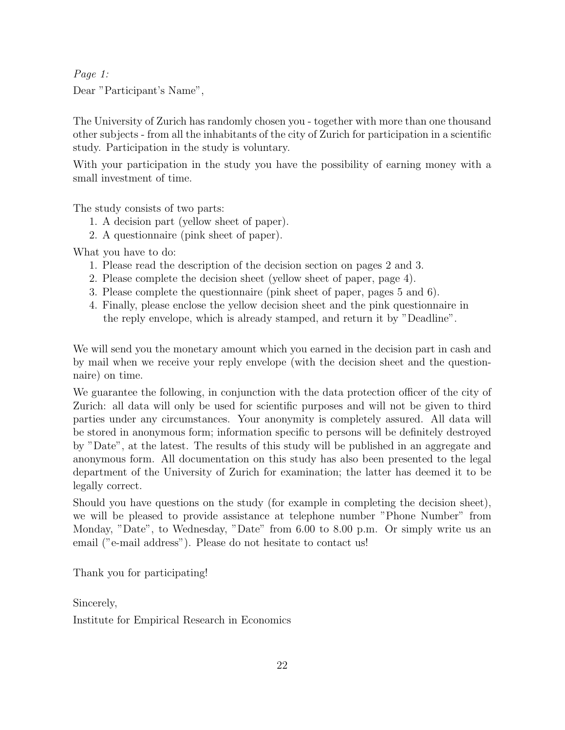Page 1: Dear "Participant's Name",

The University of Zurich has randomly chosen you - together with more than one thousand other subjects - from all the inhabitants of the city of Zurich for participation in a scientific study. Participation in the study is voluntary.

With your participation in the study you have the possibility of earning money with a small investment of time.

The study consists of two parts:

- 1. A decision part (yellow sheet of paper).
- 2. A questionnaire (pink sheet of paper).

What you have to do:

- 1. Please read the description of the decision section on pages 2 and 3.
- 2. Please complete the decision sheet (yellow sheet of paper, page 4).
- 3. Please complete the questionnaire (pink sheet of paper, pages 5 and 6).
- 4. Finally, please enclose the yellow decision sheet and the pink questionnaire in the reply envelope, which is already stamped, and return it by "Deadline".

We will send you the monetary amount which you earned in the decision part in cash and by mail when we receive your reply envelope (with the decision sheet and the questionnaire) on time.

We guarantee the following, in conjunction with the data protection officer of the city of Zurich: all data will only be used for scientific purposes and will not be given to third parties under any circumstances. Your anonymity is completely assured. All data will be stored in anonymous form; information specific to persons will be definitely destroyed by "Date", at the latest. The results of this study will be published in an aggregate and anonymous form. All documentation on this study has also been presented to the legal department of the University of Zurich for examination; the latter has deemed it to be legally correct.

Should you have questions on the study (for example in completing the decision sheet), we will be pleased to provide assistance at telephone number "Phone Number" from Monday, "Date", to Wednesday, "Date" from 6.00 to 8.00 p.m. Or simply write us an email ("e-mail address"). Please do not hesitate to contact us!

Thank you for participating!

Sincerely, Institute for Empirical Research in Economics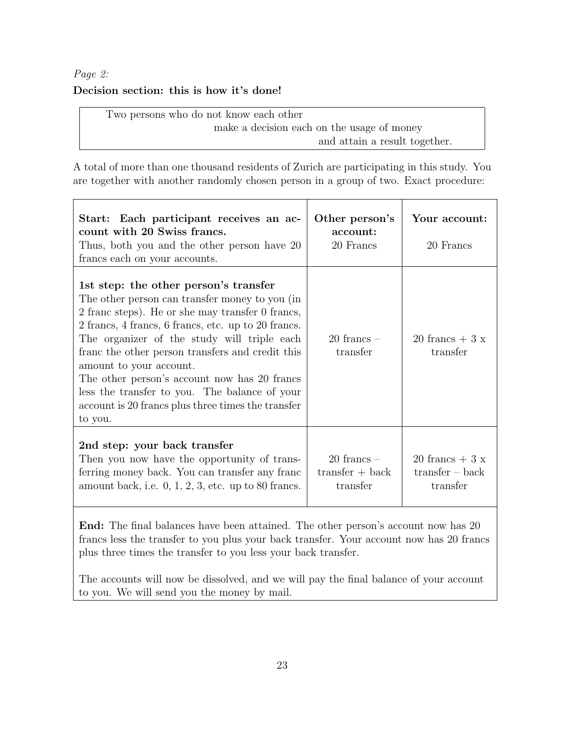#### Page 2:

#### Decision section: this is how it's done!

Two persons who do not know each other make a decision each on the usage of money and attain a result together.

A total of more than one thousand residents of Zurich are participating in this study. You are together with another randomly chosen person in a group of two. Exact procedure:

| Start: Each participant receives an ac-<br>count with 20 Swiss francs.<br>Thus, both you and the other person have 20<br>francs each on your accounts.                                                                                                                                                                                                                                                                                                                                              | Other person's<br>account:<br>20 Francs          | Your account:<br>20 Francs                       |
|-----------------------------------------------------------------------------------------------------------------------------------------------------------------------------------------------------------------------------------------------------------------------------------------------------------------------------------------------------------------------------------------------------------------------------------------------------------------------------------------------------|--------------------------------------------------|--------------------------------------------------|
| 1st step: the other person's transfer<br>The other person can transfer money to you (in<br>2 france steps). He or she may transfer 0 francs,<br>2 francs, 4 francs, 6 francs, etc. up to 20 francs.<br>The organizer of the study will triple each<br>franc the other person transfers and credit this<br>amount to your account.<br>The other person's account now has 20 francs<br>less the transfer to you. The balance of your<br>account is 20 francs plus three times the transfer<br>to you. | $20$ francs $-$<br>transfer                      | 20 francs $+3x$<br>transfer                      |
| 2nd step: your back transfer<br>Then you now have the opportunity of trans-<br>ferring money back. You can transfer any franc<br>amount back, i.e. $0, 1, 2, 3$ , etc. up to 80 francs.                                                                                                                                                                                                                                                                                                             | $20$ francs $-$<br>$transfer + back$<br>transfer | 20 francs $+3x$<br>$transfer - back$<br>transfer |

End: The final balances have been attained. The other person's account now has 20 francs less the transfer to you plus your back transfer. Your account now has 20 francs plus three times the transfer to you less your back transfer.

The accounts will now be dissolved, and we will pay the final balance of your account to you. We will send you the money by mail.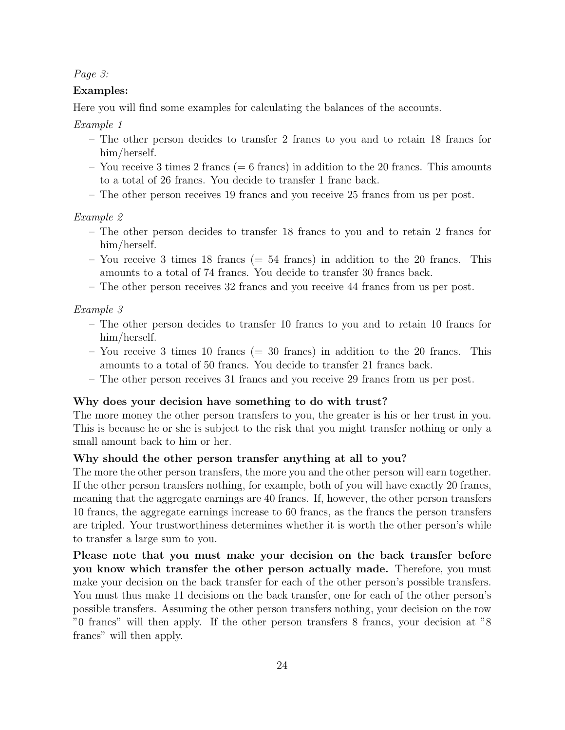Page 3:

#### Examples:

Here you will find some examples for calculating the balances of the accounts.

Example 1

- The other person decides to transfer 2 francs to you and to retain 18 francs for him/herself.
- You receive 3 times 2 francs (= 6 francs) in addition to the 20 francs. This amounts to a total of 26 francs. You decide to transfer 1 franc back.
- The other person receives 19 francs and you receive 25 francs from us per post.

#### Example 2

- The other person decides to transfer 18 francs to you and to retain 2 francs for him/herself.
- You receive 3 times 18 francs ( $=$  54 francs) in addition to the 20 francs. This amounts to a total of 74 francs. You decide to transfer 30 francs back.
- The other person receives 32 francs and you receive 44 francs from us per post.

#### Example 3

- The other person decides to transfer 10 francs to you and to retain 10 francs for him/herself.
- You receive 3 times 10 francs ( $=$  30 francs) in addition to the 20 francs. This amounts to a total of 50 francs. You decide to transfer 21 francs back.
- The other person receives 31 francs and you receive 29 francs from us per post.

#### Why does your decision have something to do with trust?

The more money the other person transfers to you, the greater is his or her trust in you. This is because he or she is subject to the risk that you might transfer nothing or only a small amount back to him or her.

#### Why should the other person transfer anything at all to you?

The more the other person transfers, the more you and the other person will earn together. If the other person transfers nothing, for example, both of you will have exactly 20 francs, meaning that the aggregate earnings are 40 francs. If, however, the other person transfers 10 francs, the aggregate earnings increase to 60 francs, as the francs the person transfers are tripled. Your trustworthiness determines whether it is worth the other person's while to transfer a large sum to you.

Please note that you must make your decision on the back transfer before you know which transfer the other person actually made. Therefore, you must make your decision on the back transfer for each of the other person's possible transfers. You must thus make 11 decisions on the back transfer, one for each of the other person's possible transfers. Assuming the other person transfers nothing, your decision on the row "0 francs" will then apply. If the other person transfers 8 francs, your decision at "8 francs" will then apply.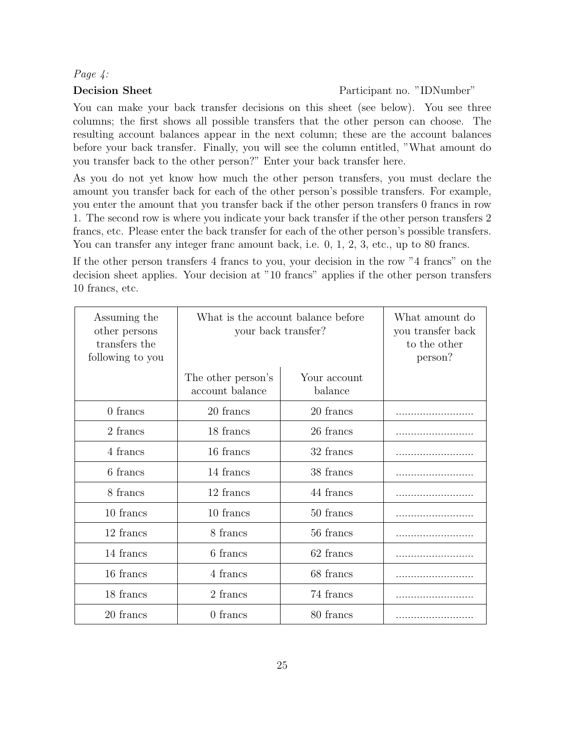#### Page 4:

#### Decision Sheet Participant no. "IDNumber"

You can make your back transfer decisions on this sheet (see below). You see three columns; the first shows all possible transfers that the other person can choose. The resulting account balances appear in the next column; these are the account balances before your back transfer. Finally, you will see the column entitled, "What amount do you transfer back to the other person?" Enter your back transfer here.

As you do not yet know how much the other person transfers, you must declare the amount you transfer back for each of the other person's possible transfers. For example, you enter the amount that you transfer back if the other person transfers 0 francs in row 1. The second row is where you indicate your back transfer if the other person transfers 2 francs, etc. Please enter the back transfer for each of the other person's possible transfers. You can transfer any integer franc amount back, i.e. 0, 1, 2, 3, etc., up to 80 francs.

If the other person transfers 4 francs to you, your decision in the row "4 francs" on the decision sheet applies. Your decision at "10 francs" applies if the other person transfers 10 francs, etc.

| Assuming the<br>other persons<br>transfers the<br>following to you | your back transfer?                   | What is the account balance before | What amount do<br>you transfer back<br>to the other<br>person? |
|--------------------------------------------------------------------|---------------------------------------|------------------------------------|----------------------------------------------------------------|
|                                                                    | The other person's<br>account balance | Your account<br>balance            |                                                                |
| 0 francs                                                           | 20 francs                             | 20 francs                          |                                                                |
| 2 francs                                                           | 18 francs                             | 26 francs                          |                                                                |
| 4 francs                                                           | 16 francs                             | 32 francs                          |                                                                |
| 6 francs                                                           | 14 francs                             | 38 francs                          |                                                                |
| 8 francs                                                           | 12 francs                             | 44 francs                          |                                                                |
| 10 francs                                                          | 10 francs                             | 50 francs                          |                                                                |
| 12 francs                                                          | 8 francs                              | 56 francs                          |                                                                |
| 14 francs                                                          | 6 francs                              | 62 francs                          |                                                                |
| 16 francs                                                          | 4 francs                              | 68 francs                          |                                                                |
| 18 francs                                                          | 2 francs                              | 74 francs                          |                                                                |
| 20 francs                                                          | $0$ francs                            | 80 francs                          |                                                                |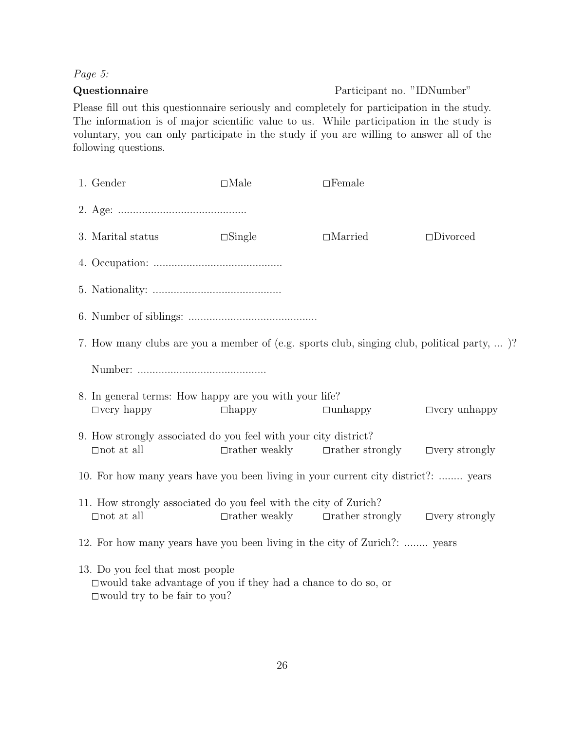### Page 5:

#### Questionnaire Participant no. "IDNumber"

Please fill out this questionnaire seriously and completely for participation in the study. The information is of major scientific value to us. While participation in the study is voluntary, you can only participate in the study if you are willing to answer all of the following questions.

| 1. Gender                                                                                                                                             | $\Box$ Male          | $\Box$ Female                                                    |                    |  |  |  |  |
|-------------------------------------------------------------------------------------------------------------------------------------------------------|----------------------|------------------------------------------------------------------|--------------------|--|--|--|--|
|                                                                                                                                                       |                      |                                                                  |                    |  |  |  |  |
| 3. Marital status                                                                                                                                     | $\square$ Single     | $\Box$ Married                                                   | $\square$ Divorced |  |  |  |  |
|                                                                                                                                                       |                      |                                                                  |                    |  |  |  |  |
|                                                                                                                                                       |                      |                                                                  |                    |  |  |  |  |
|                                                                                                                                                       |                      |                                                                  |                    |  |  |  |  |
| 7. How many clubs are you a member of (e.g. sports club, singing club, political party, )?                                                            |                      |                                                                  |                    |  |  |  |  |
|                                                                                                                                                       |                      |                                                                  |                    |  |  |  |  |
| 8. In general terms: How happy are you with your life?<br>$\Box$ very happy<br>$\Box$ unhappy<br>$\Box$ very unhappy<br>$\Box$ happy                  |                      |                                                                  |                    |  |  |  |  |
| 9. How strongly associated do you feel with your city district?<br>$\Box$ not at all                                                                  |                      | $\Box$ rather weakly $\Box$ rather strongly $\Box$ very strongly |                    |  |  |  |  |
| 10. For how many years have you been living in your current city district?:  years                                                                    |                      |                                                                  |                    |  |  |  |  |
| 11. How strongly associated do you feel with the city of Zurich?<br>$\Box$ not at all                                                                 | $\Box$ rather weakly | $\Box$ rather strongly $\Box$ very strongly                      |                    |  |  |  |  |
| 12. For how many years have you been living in the city of Zurich?:  years                                                                            |                      |                                                                  |                    |  |  |  |  |
| 13. Do you feel that most people<br>$\square$ would take advantage of you if they had a chance to do so, or<br>$\square$ would try to be fair to you? |                      |                                                                  |                    |  |  |  |  |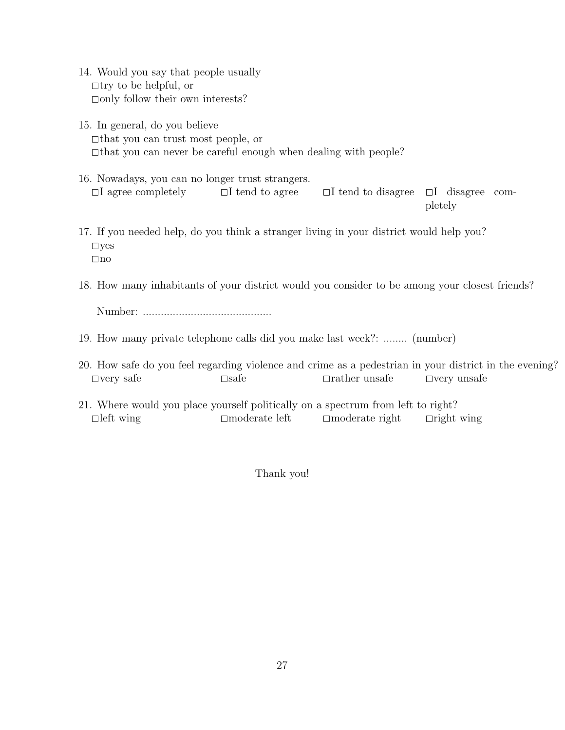- 14. Would you say that people usually  $\Box$ try to be helpful, or  $\Box$ only follow their own interests?
- 15. In general, do you believe  $\Box$ that you can trust most people, or <sup>2</sup>that you can never be careful enough when dealing with people?
- 16. Nowadays, you can no longer trust strangers.  $\Box$ I agree completely  $\Box$ I tend to agree  $\Box$ I tend to disagree  $\Box$ I disagree completely
- 17. If you needed help, do you think a stranger living in your district would help you?  $\Box$ yes  $\Box$ no
- 18. How many inhabitants of your district would you consider to be among your closest friends?

Number: ...........................................

- 19. How many private telephone calls did you make last week?: ........ (number)
- 20. How safe do you feel regarding violence and crime as a pedestrian in your district in the evening? <sup>2</sup>very safe <sup>2</sup>safe <sup>2</sup>rather unsafe <sup>2</sup>very unsafe
- 21. Where would you place yourself politically on a spectrum from left to right? <sup>2</sup>left wing <sup>2</sup>moderate left <sup>2</sup>moderate right <sup>2</sup>right wing

Thank you!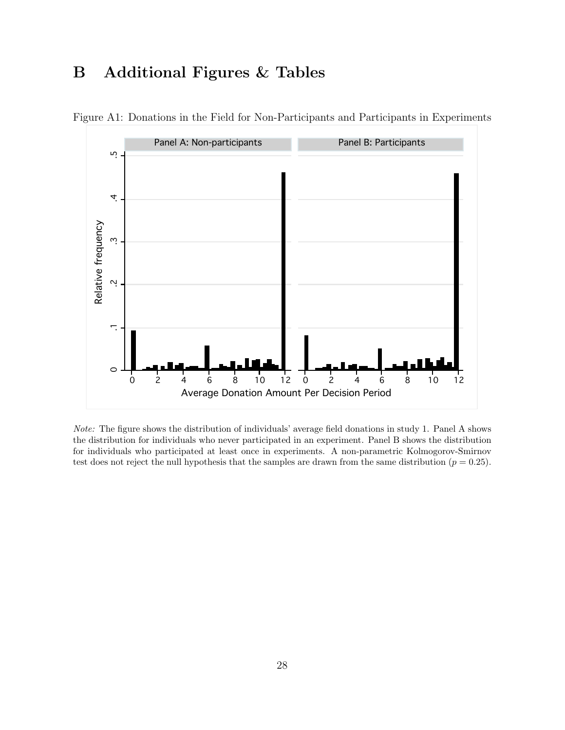## B Additional Figures & Tables



Figure A1: Donations in the Field for Non-Participants and Participants in Experiments

Note: The figure shows the distribution of individuals' average field donations in study 1. Panel A shows the distribution for individuals who never participated in an experiment. Panel B shows the distribution for individuals who participated at least once in experiments. A non-parametric Kolmogorov-Smirnov test does not reject the null hypothesis that the samples are drawn from the same distribution ( $p = 0.25$ ).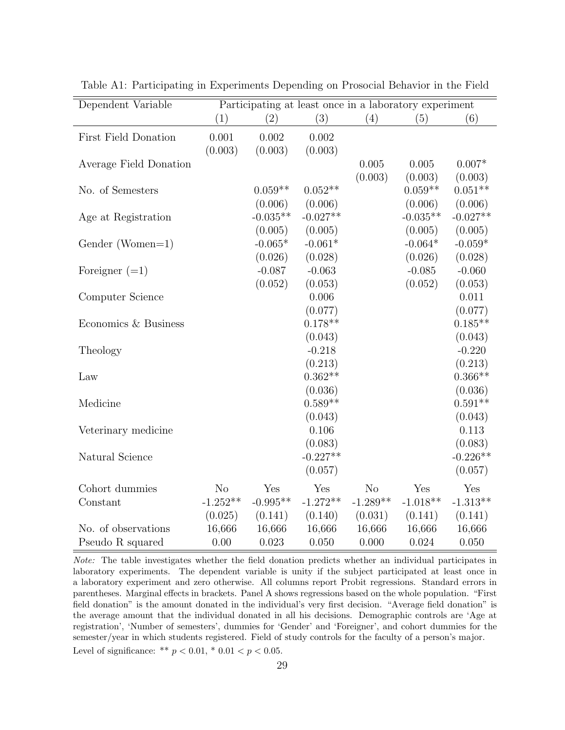| Dependent Variable     |                |            | Participating at least once in a laboratory experiment |                |            |            |
|------------------------|----------------|------------|--------------------------------------------------------|----------------|------------|------------|
|                        | (1)            | (2)        | (3)                                                    | (4)            | (5)        | (6)        |
| First Field Donation   | 0.001          | 0.002      | 0.002                                                  |                |            |            |
|                        | (0.003)        | (0.003)    | (0.003)                                                |                |            |            |
| Average Field Donation |                |            |                                                        | 0.005          | 0.005      | $0.007*$   |
|                        |                |            |                                                        | (0.003)        | (0.003)    | (0.003)    |
| No. of Semesters       |                | $0.059**$  | $0.052**$                                              |                | $0.059**$  | $0.051**$  |
|                        |                | (0.006)    | (0.006)                                                |                | (0.006)    | (0.006)    |
| Age at Registration    |                | $-0.035**$ | $-0.027**$                                             |                | $-0.035**$ | $-0.027**$ |
|                        |                | (0.005)    | (0.005)                                                |                | (0.005)    | (0.005)    |
| Gender (Women=1)       |                | $-0.065*$  | $-0.061*$                                              |                | $-0.064*$  | $-0.059*$  |
|                        |                | (0.026)    | (0.028)                                                |                | (0.026)    | (0.028)    |
| Foreigner $(=1)$       |                | $-0.087$   | $-0.063$                                               |                | $-0.085$   | $-0.060$   |
|                        |                | (0.052)    | (0.053)                                                |                | (0.052)    | (0.053)    |
| Computer Science       |                |            | 0.006                                                  |                |            | 0.011      |
|                        |                |            | (0.077)                                                |                |            | (0.077)    |
| Economics & Business   |                |            | $0.178**$                                              |                |            | $0.185**$  |
|                        |                |            | (0.043)                                                |                |            | (0.043)    |
| Theology               |                |            | $-0.218$                                               |                |            | $-0.220$   |
|                        |                |            | (0.213)                                                |                |            | (0.213)    |
| Law                    |                |            | $0.362**$                                              |                |            | $0.366**$  |
|                        |                |            | (0.036)                                                |                |            | (0.036)    |
| Medicine               |                |            | $0.589**$                                              |                |            | $0.591**$  |
|                        |                |            | (0.043)                                                |                |            | (0.043)    |
| Veterinary medicine    |                |            | 0.106                                                  |                |            | 0.113      |
|                        |                |            | (0.083)                                                |                |            | (0.083)    |
| Natural Science        |                |            | $-0.227**$                                             |                |            | $-0.226**$ |
|                        |                |            | (0.057)                                                |                |            | (0.057)    |
| Cohort dummies         | N <sub>o</sub> | Yes        | Yes                                                    | N <sub>o</sub> | Yes        | Yes        |
| Constant               | $-1.252**$     | $-0.995**$ | $-1.272**$                                             | $-1.289**$     | $-1.018**$ | $-1.313**$ |
|                        | (0.025)        | (0.141)    | (0.140)                                                | (0.031)        | (0.141)    | (0.141)    |
| No. of observations    | 16,666         | 16,666     | 16,666                                                 | 16,666         | 16,666     | 16,666     |
| Pseudo R squared       | 0.00           | 0.023      | 0.050                                                  | 0.000          | 0.024      | 0.050      |

Table A1: Participating in Experiments Depending on Prosocial Behavior in the Field

Note: The table investigates whether the field donation predicts whether an individual participates in laboratory experiments. The dependent variable is unity if the subject participated at least once in a laboratory experiment and zero otherwise. All columns report Probit regressions. Standard errors in parentheses. Marginal effects in brackets. Panel A shows regressions based on the whole population. "First field donation" is the amount donated in the individual's very first decision. "Average field donation" is the average amount that the individual donated in all his decisions. Demographic controls are 'Age at registration', 'Number of semesters', dummies for 'Gender' and 'Foreigner', and cohort dummies for the semester/year in which students registered. Field of study controls for the faculty of a person's major.

Level of significance: \*\*  $p < 0.01$ , \*  $0.01 < p < 0.05$ .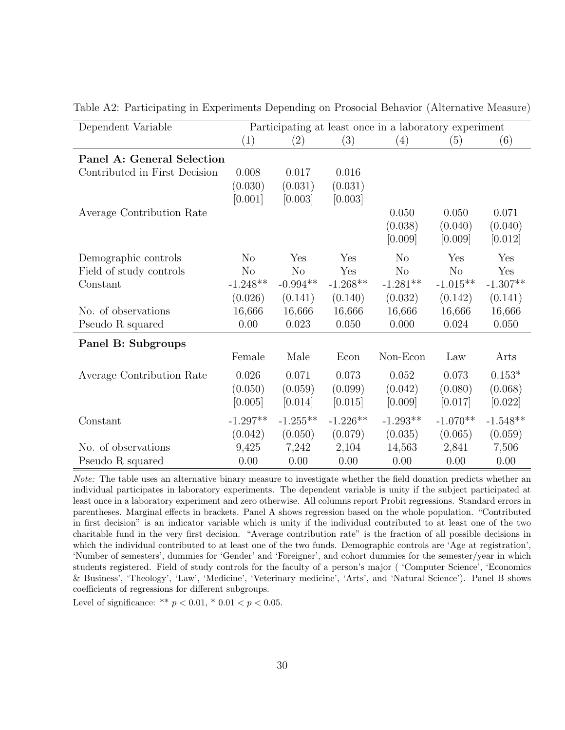| Dependent Variable            |                   |            |            | Participating at least once in a laboratory experiment |            |            |
|-------------------------------|-------------------|------------|------------|--------------------------------------------------------|------------|------------|
|                               | $\left( 1\right)$ | (2)        | (3)        | (4)                                                    | (5)        | (6)        |
| Panel A: General Selection    |                   |            |            |                                                        |            |            |
| Contributed in First Decision | 0.008             | 0.017      | 0.016      |                                                        |            |            |
|                               | (0.030)           | (0.031)    | (0.031)    |                                                        |            |            |
|                               | [0.001]           | [0.003]    | [0.003]    |                                                        |            |            |
| Average Contribution Rate     |                   |            |            | 0.050                                                  | 0.050      | 0.071      |
|                               |                   |            |            | (0.038)                                                | (0.040)    | (0.040)    |
|                               |                   |            |            | [0.009]                                                | [0.009]    | [0.012]    |
| Demographic controls          | $\rm No$          | Yes        | Yes        | N <sub>o</sub>                                         | Yes        | Yes        |
| Field of study controls       | N <sub>o</sub>    | No         | Yes        | No                                                     | No         | Yes        |
| Constant                      | $-1.248**$        | $-0.994**$ | $-1.268**$ | $-1.281**$                                             | $-1.015**$ | $-1.307**$ |
|                               | (0.026)           | (0.141)    | (0.140)    | (0.032)                                                | (0.142)    | (0.141)    |
| No. of observations           | 16,666            | 16,666     | 16,666     | 16,666                                                 | 16,666     | 16,666     |
| Pseudo R squared              | 0.00              | 0.023      | 0.050      | 0.000                                                  | 0.024      | 0.050      |
| Panel B: Subgroups            |                   |            |            |                                                        |            |            |
|                               | Female            | Male       | Econ       | Non-Econ                                               | Law        | Arts       |
| Average Contribution Rate     | 0.026             | 0.071      | 0.073      | 0.052                                                  | 0.073      | $0.153*$   |
|                               | (0.050)           | (0.059)    | (0.099)    | (0.042)                                                | (0.080)    | (0.068)    |
|                               | [0.005]           | [0.014]    | [0.015]    | [0.009]                                                | [0.017]    | [0.022]    |
| Constant                      | $-1.297**$        | $-1.255**$ | $-1.226**$ | $-1.293**$                                             | $-1.070**$ | $-1.548**$ |
|                               | (0.042)           | (0.050)    | (0.079)    | (0.035)                                                | (0.065)    | (0.059)    |
| No. of observations           | 9,425             | 7,242      | 2,104      | 14,563                                                 | 2,841      | 7,506      |
| Pseudo R squared              | 0.00              | 0.00       | 0.00       | 0.00                                                   | 0.00       | 0.00       |

Table A2: Participating in Experiments Depending on Prosocial Behavior (Alternative Measure)

Note: The table uses an alternative binary measure to investigate whether the field donation predicts whether an individual participates in laboratory experiments. The dependent variable is unity if the subject participated at least once in a laboratory experiment and zero otherwise. All columns report Probit regressions. Standard errors in parentheses. Marginal effects in brackets. Panel A shows regression based on the whole population. "Contributed in first decision" is an indicator variable which is unity if the individual contributed to at least one of the two charitable fund in the very first decision. "Average contribution rate" is the fraction of all possible decisions in which the individual contributed to at least one of the two funds. Demographic controls are 'Age at registration', 'Number of semesters', dummies for 'Gender' and 'Foreigner', and cohort dummies for the semester/year in which students registered. Field of study controls for the faculty of a person's major ( 'Computer Science', 'Economics & Business', 'Theology', 'Law', 'Medicine', 'Veterinary medicine', 'Arts', and 'Natural Science'). Panel B shows coefficients of regressions for different subgroups.

Level of significance: \*\*  $p < 0.01$ , \*  $0.01 < p < 0.05$ .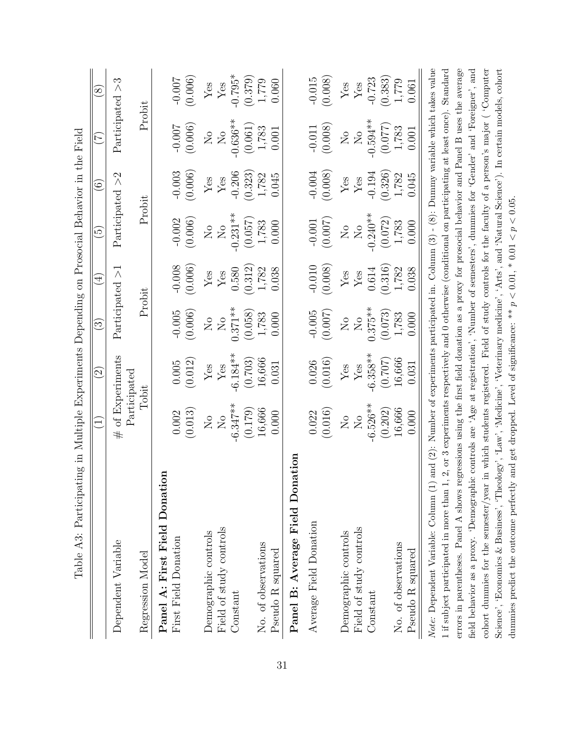| Table A3: Participating in Multiple Experiments Depending on Prosocial Behavior in the Field                                                        |                                                                             |                                        |                            |                             |                            |                     |                               |                             |
|-----------------------------------------------------------------------------------------------------------------------------------------------------|-----------------------------------------------------------------------------|----------------------------------------|----------------------------|-----------------------------|----------------------------|---------------------|-------------------------------|-----------------------------|
|                                                                                                                                                     | $\widehat{\Xi}$                                                             | $\overline{\mathcal{C}}$               | $\odot$                    | $\bigoplus$                 | $\widetilde{\mathfrak{G}}$ | $\widehat{\odot}$   | $\widetilde{\Gamma}$          | $\infty$                    |
| Dependent Variable                                                                                                                                  |                                                                             | # of Experiments<br>$\rm Participated$ | Participated               | $\wedge$                    | Participated $>2$          |                     | Participated                  | S<br>$\wedge$               |
| Regression Model                                                                                                                                    |                                                                             | 10bit                                  | Probit                     |                             | Probit                     |                     | Probit                        |                             |
| Panel A: First Field Donation                                                                                                                       |                                                                             |                                        |                            |                             |                            |                     |                               |                             |
| First Field Donation                                                                                                                                | (0.013)<br>0.002                                                            | (0.012)<br>$0.005\,$                   | (0.006)<br>$-0.005$        | (0.006)<br>$-0.008$         | $-0.002$<br>(0.006)        | $-0.003$<br>(0.006) | (0.006)<br>$-0.007$           | (0.006)<br>$-0.007$         |
| Demographic controls                                                                                                                                | $\rm _{NO}$                                                                 | Yes                                    | $\overline{M}$             | $\ensuremath{\mathrm{Yes}}$ | $_{\rm N_o}$               | ${\rm Yes}$         | $\rm \stackrel{\circ}{X}$     | $\ensuremath{\mathrm{Yes}}$ |
| Field of study controls                                                                                                                             | $\overline{S}$                                                              | ${\rm Yes}$                            | $\overline{S}$             | $\rm Yes$                   | $\overline{N}$             | ${\rm Yes}$         | $\overline{N}_{\overline{O}}$ | $\rm Yes$                   |
| Constant                                                                                                                                            | $-6.347**$<br>(0.179)                                                       | $-6.184**$<br>(0.703)                  | $0.371**$<br>(0.058)       | (0.312)<br>0.580            | $-0.231**$<br>(0.057)      | $-0.206$<br>(0.323) | $-0.636**$<br>(0.061)         | $-0.795*$<br>(0.379)        |
| No. of observations                                                                                                                                 | 16,666                                                                      | 16,666                                 | 1,783                      | 1,782                       | 1,783                      | 1,782               | 1,783                         | 1,779                       |
| Pseudo R squared                                                                                                                                    | 0.000                                                                       | 0.031                                  | 0.000                      | 0.038                       | 0.000                      | 0.045               | 0.001                         | 0.060                       |
| Panel B: Average Field Donation                                                                                                                     |                                                                             |                                        |                            |                             |                            |                     |                               |                             |
| Average Field Donation                                                                                                                              | 0.022                                                                       | 0.026                                  | $-0.005$                   | $-0.010$                    | $-0.001$                   | $-0.004$            | $-0.011$                      | $-0.015$                    |
|                                                                                                                                                     | (0.016)                                                                     | (0.016)                                | (0.007)                    | (0.008)                     | (0.007)                    | (0.008)             | (0.008)                       | (0.008)                     |
| Demographic controls                                                                                                                                | $\stackrel{\circ}{\simeq}$                                                  | ${\rm Yes}$                            | $\stackrel{\circ}{\simeq}$ | $\rm Yes$                   | $\stackrel{\circ}{\simeq}$ | $\mathbf{Yes}$      | $\overline{N}$                | $\operatorname{Yes}$        |
| Field of study controls                                                                                                                             | $\rm \stackrel{\circ}{X}$                                                   | ${\rm Yes}$                            | $\overline{N}$             | ${\rm Yes}$                 | $\overline{N}$             | ${\rm Yes}$         | $_{\rm N_o}$                  | ${\rm Yes}$                 |
| Constant                                                                                                                                            | $-6.526**$                                                                  | $-6.358**$                             | $0.375**$                  | 0.614                       | $-0.240**$                 | $-0.194$            | $-0.594**$                    | $-0.723$                    |
|                                                                                                                                                     | (0.202)                                                                     | (0.707)                                | (0.073)                    | (0.316)                     | (0.072)                    | (0.326)             | (0.077)                       | (0.383)                     |
| No. of observations<br>Pseudo R squared                                                                                                             | 16,666<br>0.000                                                             | 16,666<br>$\!0.031$                    | 1,783<br>0.000             | 1,782<br>0.038              | 1,783<br>0.000             | 1,782<br>0.045      | 1,783<br>$0.001\,$            | 1,779<br>0.061              |
| <i>Note:</i> Dependent Variable: Column (1) and (2): Number of experiments participated in. Column $(3)$ - $(8)$ : Dummy variable which takes value |                                                                             |                                        |                            |                             |                            |                     |                               |                             |
| 1 if subject participated in more than 1, 2, or 3 experiments respectively and 0 otherwise (conditional on participating at least once). Standard   |                                                                             |                                        |                            |                             |                            |                     |                               |                             |
| errors in parentheses. Panel A shows regressions using the first field donation as a proxy for prosocial behavior and Panel B uses the average      |                                                                             |                                        |                            |                             |                            |                     |                               |                             |
| field behavior as a proxy. 'Demographic controls are 'Age at registration', 'Number of semesters', dummies for 'Gender' and 'Foreigner', and        |                                                                             |                                        |                            |                             |                            |                     |                               |                             |
| cohort dummies for the semester/year in which students registered. Field of study controls for the faculty of a person's major ('Computer           |                                                                             |                                        |                            |                             |                            |                     |                               |                             |
| Science', 'Economics & Business', 'Theology', 'Law', 'Medicine', 'Veterinary medicine', 'Arts', and 'Natural Science'). In certain models, cohort   |                                                                             |                                        |                            |                             |                            |                     |                               |                             |
| dummies predict the outcome perfectly                                                                                                               | and get dropped. Level of significance: ** $p < 0.01$ , * 0.01 < $p < 0.05$ |                                        |                            |                             |                            |                     |                               |                             |

dummies predict the outcome perfectly and get dropped. Level of significance: \*\*  $p < 0.01$ , \* 0.01  $\lt p \lt 0.05$ .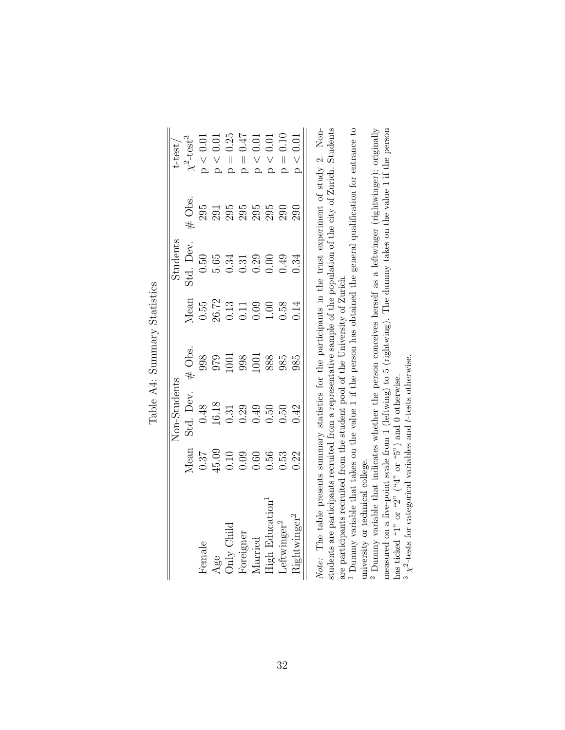|                                           |                                                                                                                                                                                                                                                                                                                                                                   | <b>Jon-Students</b>                                                                                                                                                                                                                                                                                           |          |                                                                                                               | Students  |                                                               | $t$ -test                                                                                                                                                                             |
|-------------------------------------------|-------------------------------------------------------------------------------------------------------------------------------------------------------------------------------------------------------------------------------------------------------------------------------------------------------------------------------------------------------------------|---------------------------------------------------------------------------------------------------------------------------------------------------------------------------------------------------------------------------------------------------------------------------------------------------------------|----------|---------------------------------------------------------------------------------------------------------------|-----------|---------------------------------------------------------------|---------------------------------------------------------------------------------------------------------------------------------------------------------------------------------------|
|                                           | Iean                                                                                                                                                                                                                                                                                                                                                              | Std. Dev.                                                                                                                                                                                                                                                                                                     | $#$ Obs. |                                                                                                               | std. Dev. | # Obs.                                                        |                                                                                                                                                                                       |
| $H$ emale                                 |                                                                                                                                                                                                                                                                                                                                                                   |                                                                                                                                                                                                                                                                                                               |          |                                                                                                               |           |                                                               |                                                                                                                                                                                       |
|                                           |                                                                                                                                                                                                                                                                                                                                                                   |                                                                                                                                                                                                                                                                                                               |          |                                                                                                               |           |                                                               |                                                                                                                                                                                       |
| Age<br>Only Child<br>Foreigner<br>Married | $\frac{1}{6}$<br>$\frac{1}{6}$<br>$\frac{1}{6}$<br>$\frac{1}{6}$<br>$\frac{1}{6}$<br>$\frac{1}{6}$<br>$\frac{1}{6}$<br>$\frac{1}{6}$<br>$\frac{1}{6}$<br>$\frac{1}{6}$<br>$\frac{1}{6}$<br>$\frac{1}{6}$<br>$\frac{1}{6}$<br>$\frac{1}{6}$<br>$\frac{1}{6}$<br>$\frac{1}{6}$<br>$\frac{1}{6}$<br>$\frac{1}{6}$<br>$\frac{1}{6}$<br>$\frac{1}{6}$<br>$\frac{1}{6}$ | $\begin{array}{c} 0.48 \\ 0.31 \\ 0.61 \\ 0.32 \\ 0.33 \\ 0.34 \\ 0.35 \\ 0.36 \\ 0.37 \\ 0.37 \\ 0.38 \\ 0.37 \\ 0.37 \\ 0.38 \\ 0.39 \\ 0.39 \\ 0.39 \\ 0.39 \\ 0.39 \\ 0.39 \\ 0.39 \\ 0.39 \\ 0.39 \\ 0.39 \\ 0.39 \\ 0.39 \\ 0.39 \\ 0.39 \\ 0.39 \\ 0.39 \\ 0.39 \\ 0.39 \\ 0.39 \\ 0.39 \\ 0.39 \\ 0.$ |          | $\frac{\text{Mean}}{0.55}$ $\frac{26.72}{0.13}$ $\frac{26.72}{0.11}$ $\frac{10.09}{0.55}$ $\frac{0.14}{0.14}$ |           | 5<br>6<br>8<br>8<br>8<br>8<br>8<br>8<br>8<br>8<br>8<br>8<br>8 | $\frac{\sqrt{2} + \text{test}^3}{\sqrt{2} - 0.01}$<br>$\sqrt{6} - 0.01$<br>$\sqrt{10} - 0.25$<br>$\sqrt{10} - 0.47$<br>$\sqrt{10} - 0.01$<br>$\sqrt{10} - 0.01$<br>$\sqrt{10} - 0.01$ |
|                                           |                                                                                                                                                                                                                                                                                                                                                                   |                                                                                                                                                                                                                                                                                                               |          |                                                                                                               |           |                                                               |                                                                                                                                                                                       |
|                                           |                                                                                                                                                                                                                                                                                                                                                                   |                                                                                                                                                                                                                                                                                                               |          |                                                                                                               |           |                                                               |                                                                                                                                                                                       |
| <b>Ugh Educa</b>                          |                                                                                                                                                                                                                                                                                                                                                                   |                                                                                                                                                                                                                                                                                                               |          |                                                                                                               |           |                                                               |                                                                                                                                                                                       |
| eftwinge:                                 |                                                                                                                                                                                                                                                                                                                                                                   |                                                                                                                                                                                                                                                                                                               |          |                                                                                                               |           |                                                               |                                                                                                                                                                                       |
|                                           |                                                                                                                                                                                                                                                                                                                                                                   |                                                                                                                                                                                                                                                                                                               |          |                                                                                                               |           |                                                               | $\leq 0.0$ '                                                                                                                                                                          |

Table A4: Summary Statistics Table A4: Summary Statistics

Note: The table presents summary statistics for the participants in the trust experiment of study 2. Non-<br>students are participants recruited from a representative sample of the population of the city of Zurich. Students Note: The table presents summary statistics for the participants in the trust experiment of study 2. Nonstudents are participants recruited from a representative sample of the population of the city of Zurich. Students are participants recruited from the student pool of the University of Zurich. are participants recruited from the student pool of the University of Zurich.

<sup>1</sup> Dummy variable that takes on the value 1 if the person has obtained the general qualification for entrance to Dummy variable that takes on the value 1 if the person has obtained the general qualification for entrance to university or technical college. university or technical college.

<sup>2</sup> Dummy variable that indicates whether the person conceives herself as a leftwinger (rightwinger); originally measured on a five-point scale from 1 (leftwing) to 5 (rightwing). The dummy takes on the value 1 if the person has ticked "1" or "2" ("4" or "5") and 0 otherwise. Dummy variable that indicates whether the person conceives herself as a leftwinger (rightwinger); originally measured on a five-point scale from 1 (leftwing) to 5 (rightwing). The dummy takes on the value 1 if the person has ticked "1" or "2"  $($ "4" or "5") and 0 otherwise.

 $3\,\chi^2$  tests for categorical variables and t-tests otherwise.  $^3$   $\chi^2$ -tests for categorical variables and t-tests otherwise.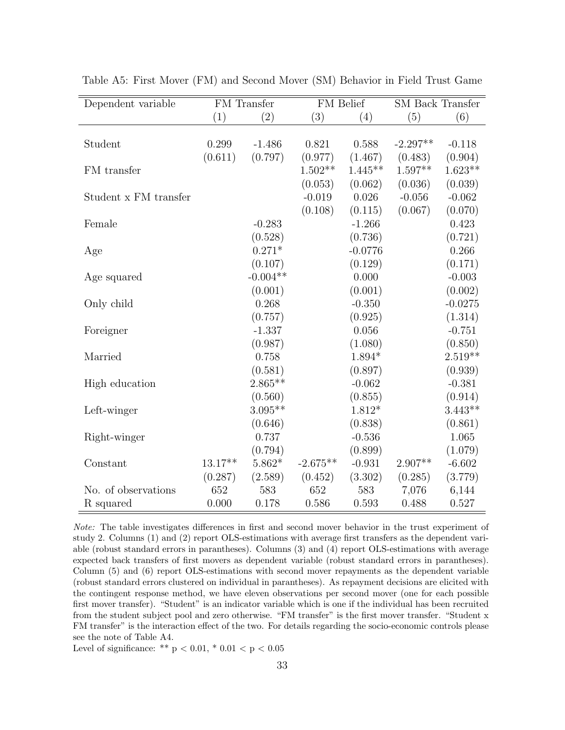| Dependent variable    |           | FM Transfer | FM Belief  |           | <b>SM</b> Back Transfer |           |
|-----------------------|-----------|-------------|------------|-----------|-------------------------|-----------|
|                       | (1)       | (2)         | (3)        | (4)       | (5)                     | (6)       |
|                       |           |             |            |           |                         |           |
| Student               | 0.299     | $-1.486$    | 0.821      | 0.588     | $-2.297**$              | $-0.118$  |
|                       | (0.611)   | (0.797)     | (0.977)    | (1.467)   | (0.483)                 | (0.904)   |
| FM transfer           |           |             | $1.502**$  | $1.445**$ | $1.597**$               | $1.623**$ |
|                       |           |             | (0.053)    | (0.062)   | (0.036)                 | (0.039)   |
| Student x FM transfer |           |             | $-0.019$   | 0.026     | $-0.056$                | $-0.062$  |
|                       |           |             | (0.108)    | (0.115)   | (0.067)                 | (0.070)   |
| Female                |           | $-0.283$    |            | $-1.266$  |                         | 0.423     |
|                       |           | (0.528)     |            | (0.736)   |                         | (0.721)   |
| Age                   |           | $0.271*$    |            | $-0.0776$ |                         | 0.266     |
|                       |           | (0.107)     |            | (0.129)   |                         | (0.171)   |
| Age squared           |           | $-0.004**$  |            | 0.000     |                         | $-0.003$  |
|                       |           | (0.001)     |            | (0.001)   |                         | (0.002)   |
| Only child            |           | 0.268       |            | $-0.350$  |                         | $-0.0275$ |
|                       |           | (0.757)     |            | (0.925)   |                         | (1.314)   |
| Foreigner             |           | $-1.337$    |            | 0.056     |                         | $-0.751$  |
|                       |           | (0.987)     |            | (1.080)   |                         | (0.850)   |
| Married               |           | 0.758       |            | $1.894*$  |                         | $2.519**$ |
|                       |           | (0.581)     |            | (0.897)   |                         | (0.939)   |
| High education        |           | $2.865**$   |            | $-0.062$  |                         | $-0.381$  |
|                       |           | (0.560)     |            | (0.855)   |                         | (0.914)   |
| Left-winger           |           | $3.095**$   |            | $1.812*$  |                         | $3.443**$ |
|                       |           | (0.646)     |            | (0.838)   |                         | (0.861)   |
| Right-winger          |           | 0.737       |            | $-0.536$  |                         | 1.065     |
|                       |           | (0.794)     |            | (0.899)   |                         | (1.079)   |
| Constant              | $13.17**$ | $5.862*$    | $-2.675**$ | $-0.931$  | $2.907**$               | $-6.602$  |
|                       | (0.287)   | (2.589)     | (0.452)    | (3.302)   | (0.285)                 | (3.779)   |
| No. of observations   | 652       | 583         | 652        | 583       | 7,076                   | 6,144     |
| R squared             | 0.000     | 0.178       | 0.586      | 0.593     | 0.488                   | 0.527     |

Table A5: First Mover (FM) and Second Mover (SM) Behavior in Field Trust Game

Note: The table investigates differences in first and second mover behavior in the trust experiment of study 2. Columns (1) and (2) report OLS-estimations with average first transfers as the dependent variable (robust standard errors in parantheses). Columns (3) and (4) report OLS-estimations with average expected back transfers of first movers as dependent variable (robust standard errors in parantheses). Column (5) and (6) report OLS-estimations with second mover repayments as the dependent variable (robust standard errors clustered on individual in parantheses). As repayment decisions are elicited with the contingent response method, we have eleven observations per second mover (one for each possible first mover transfer). "Student" is an indicator variable which is one if the individual has been recruited from the student subject pool and zero otherwise. "FM transfer" is the first mover transfer. "Student x FM transfer" is the interaction effect of the two. For details regarding the socio-economic controls please see the note of Table A4.

Level of significance: \*\*  $p < 0.01$ , \*  $0.01 < p < 0.05$